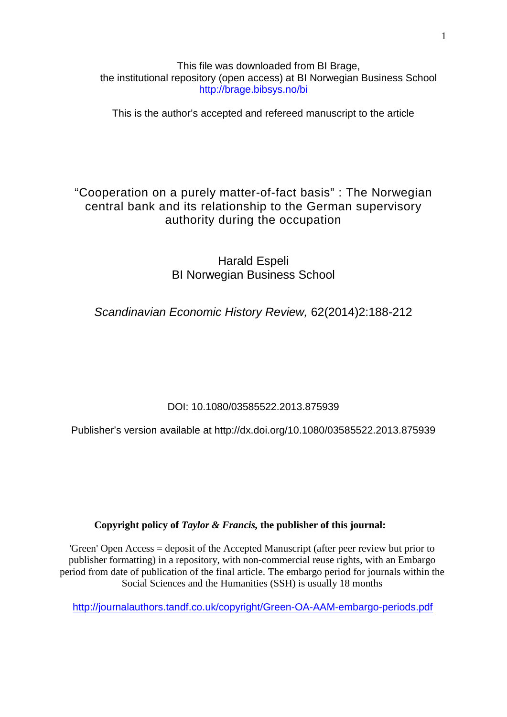This file was downloaded from BI Brage, the institutional repository (open access) at BI Norwegian Business School http://brage.bibsys.no/bi

This is the author's accepted and refereed manuscript to the article

# "Cooperation on a purely matter-of-fact basis" : The Norwegian central bank and its relationship to the German supervisory authority during the occupation

Harald Espeli BI Norwegian Business School

*Scandinavian Economic History Review,* 62(2014)2:188-212

DOI: 10.1080/03585522.2013.875939

Publisher's version available at http://dx.doi.org/10.1080/03585522.2013.875939

**Copyright policy of** *Taylor & Francis,* **the publisher of this journal:**

'Green' Open Access = deposit of the Accepted Manuscript (after peer review but prior to publisher formatting) in a repository, with non-commercial reuse rights, with an Embargo period from date of publication of the final article. The embargo period for journals within the Social Sciences and the Humanities (SSH) is usually 18 months

<http://journalauthors.tandf.co.uk/copyright/Green-OA-AAM-embargo-periods.pdf>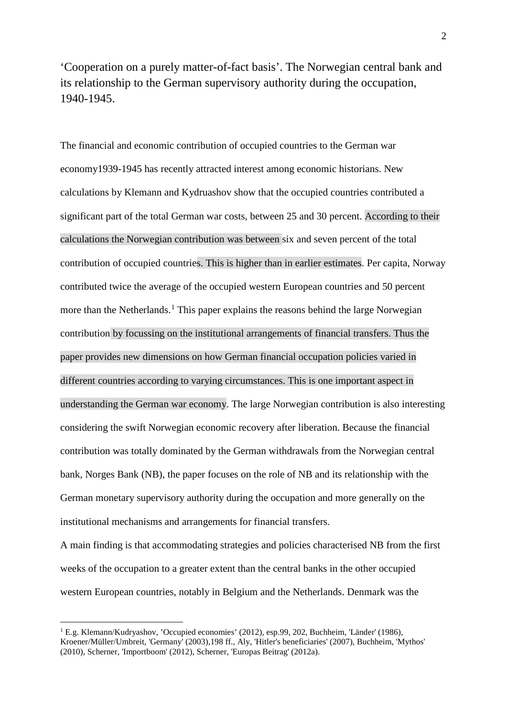'Cooperation on a purely matter-of-fact basis'. The Norwegian central bank and its relationship to the German supervisory authority during the occupation, 1940-1945.

The financial and economic contribution of occupied countries to the German war economy1939-1945 has recently attracted interest among economic historians. New calculations by Klemann and Kydruashov show that the occupied countries contributed a significant part of the total German war costs, between 25 and 30 percent. According to their calculations the Norwegian contribution was between six and seven percent of the total contribution of occupied countries. This is higher than in earlier estimates. Per capita, Norway contributed twice the average of the occupied western European countries and 50 percent more than the Netherlands.<sup>[1](#page-1-0)</sup> This paper explains the reasons behind the large Norwegian contribution by focussing on the institutional arrangements of financial transfers. Thus the paper provides new dimensions on how German financial occupation policies varied in different countries according to varying circumstances. This is one important aspect in understanding the German war economy. The large Norwegian contribution is also interesting considering the swift Norwegian economic recovery after liberation. Because the financial contribution was totally dominated by the German withdrawals from the Norwegian central bank, Norges Bank (NB), the paper focuses on the role of NB and its relationship with the German monetary supervisory authority during the occupation and more generally on the institutional mechanisms and arrangements for financial transfers.

A main finding is that accommodating strategies and policies characterised NB from the first weeks of the occupation to a greater extent than the central banks in the other occupied western European countries, notably in Belgium and the Netherlands. Denmark was the

<span id="page-1-0"></span><sup>&</sup>lt;sup>1</sup> E.g. Klemann/Kudryashov, 'Occupied economies' (2012), esp.99, 202, Buchheim, 'Länder' (1986), Kroener/Müller/Umbreit, 'Germany' (2003),198 ff., Aly, 'Hitler's beneficiaries' (2007), Buchheim, 'Mythos' (2010), Scherner, 'Importboom' (2012), Scherner, 'Europas Beitrag' (2012a).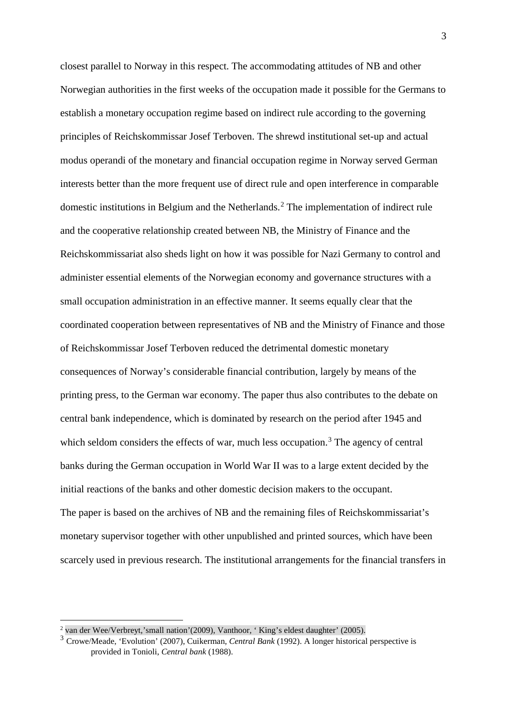closest parallel to Norway in this respect. The accommodating attitudes of NB and other Norwegian authorities in the first weeks of the occupation made it possible for the Germans to establish a monetary occupation regime based on indirect rule according to the governing principles of Reichskommissar Josef Terboven. The shrewd institutional set-up and actual modus operandi of the monetary and financial occupation regime in Norway served German interests better than the more frequent use of direct rule and open interference in comparable domestic institutions in Belgium and the Netherlands.<sup>[2](#page-2-0)</sup> The implementation of indirect rule and the cooperative relationship created between NB, the Ministry of Finance and the Reichskommissariat also sheds light on how it was possible for Nazi Germany to control and administer essential elements of the Norwegian economy and governance structures with a small occupation administration in an effective manner. It seems equally clear that the coordinated cooperation between representatives of NB and the Ministry of Finance and those of Reichskommissar Josef Terboven reduced the detrimental domestic monetary consequences of Norway's considerable financial contribution, largely by means of the printing press, to the German war economy. The paper thus also contributes to the debate on central bank independence, which is dominated by research on the period after 1945 and which seldom considers the effects of war, much less occupation.<sup>[3](#page-2-1)</sup> The agency of central banks during the German occupation in World War II was to a large extent decided by the initial reactions of the banks and other domestic decision makers to the occupant. The paper is based on the archives of NB and the remaining files of Reichskommissariat's monetary supervisor together with other unpublished and printed sources, which have been scarcely used in previous research. The institutional arrangements for the financial transfers in

<span id="page-2-0"></span> $2$  van der Wee/Verbreyt, 'small nation' (2009), Vanthoor, 'King's eldest daughter' (2005).

<span id="page-2-1"></span><sup>&</sup>lt;sup>3</sup> Crowe/Meade. 'Evolution' (2007), Cuikerman, *Central Bank* (1992). A longer historical perspective is provided in Tonioli, *Central bank* (1988).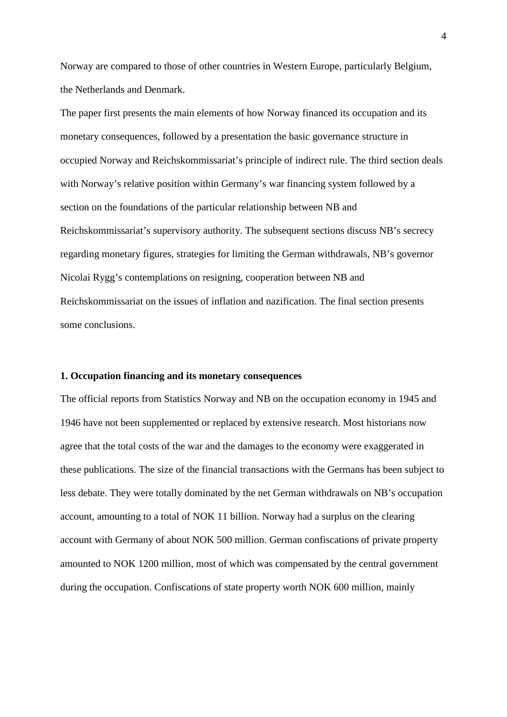Norway are compared to those of other countries in Western Europe, particularly Belgium, the Netherlands and Denmark.

The paper first presents the main elements of how Norway financed its occupation and its monetary consequences, followed by a presentation the basic governance structure in occupied Norway and Reichskommissariat's principle of indirect rule. The third section deals with Norway's relative position within Germany's war financing system followed by a section on the foundations of the particular relationship between NB and Reichskommissariat's supervisory authority. The subsequent sections discuss NB's secrecy regarding monetary figures, strategies for limiting the German withdrawals, NB's governor Nicolai Rygg's contemplations on resigning, cooperation between NB and Reichskommissariat on the issues of inflation and nazification. The final section presents some conclusions.

#### **1. Occupation financing and its monetary consequences**

The official reports from Statistics Norway and NB on the occupation economy in 1945 and 1946 have not been supplemented or replaced by extensive research. Most historians now agree that the total costs of the war and the damages to the economy were exaggerated in these publications. The size of the financial transactions with the Germans has been subject to less debate. They were totally dominated by the net German withdrawals on NB's occupation account, amounting to a total of NOK 11 billion. Norway had a surplus on the clearing account with Germany of about NOK 500 million. German confiscations of private property amounted to NOK 1200 million, most of which was compensated by the central government during the occupation. Confiscations of state property worth NOK 600 million, mainly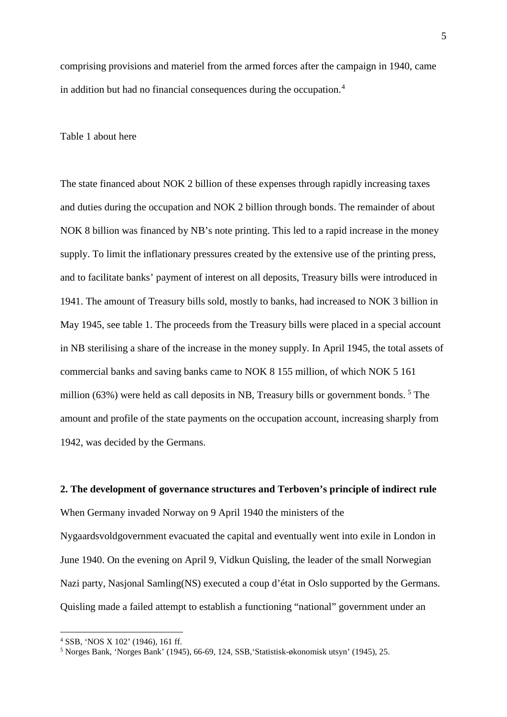comprising provisions and materiel from the armed forces after the campaign in 1940, came in addition but had no financial consequences during the occupation. [4](#page-4-0)

# Table 1 about here

The state financed about NOK 2 billion of these expenses through rapidly increasing taxes and duties during the occupation and NOK 2 billion through bonds. The remainder of about NOK 8 billion was financed by NB's note printing. This led to a rapid increase in the money supply. To limit the inflationary pressures created by the extensive use of the printing press, and to facilitate banks' payment of interest on all deposits, Treasury bills were introduced in 1941. The amount of Treasury bills sold, mostly to banks, had increased to NOK 3 billion in May 1945, see table 1. The proceeds from the Treasury bills were placed in a special account in NB sterilising a share of the increase in the money supply. In April 1945, the total assets of commercial banks and saving banks came to NOK 8 155 million, of which NOK 5 161 million (63%) were held as call deposits in NB, Treasury bills or government bonds. [5](#page-4-1) The amount and profile of the state payments on the occupation account, increasing sharply from 1942, was decided by the Germans.

# **2. The development of governance structures and Terboven's principle of indirect rule**

When Germany invaded Norway on 9 April 1940 the ministers of the Nygaardsvoldgovernment evacuated the capital and eventually went into exile in London in June 1940. On the evening on April 9, Vidkun Quisling, the leader of the small Norwegian Nazi party, Nasjonal Samling(NS) executed a coup d'état in Oslo supported by the Germans. Quisling made a failed attempt to establish a functioning "national" government under an

<span id="page-4-1"></span><span id="page-4-0"></span><sup>&</sup>lt;sup>4</sup> SSB, 'NOS X 102' (1946), 161 ff.<br><sup>5</sup> Norges Bank, 'Norges Bank' (1945), 66-69, 124, SSB, 'Statistisk-økonomisk utsyn' (1945), 25.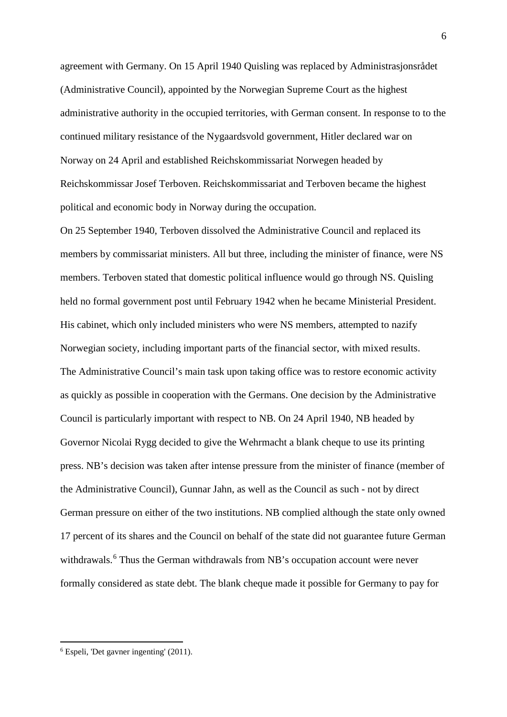agreement with Germany. On 15 April 1940 Quisling was replaced by Administrasjonsrådet (Administrative Council), appointed by the Norwegian Supreme Court as the highest administrative authority in the occupied territories, with German consent. In response to to the continued military resistance of the Nygaardsvold government, Hitler declared war on Norway on 24 April and established Reichskommissariat Norwegen headed by Reichskommissar Josef Terboven. Reichskommissariat and Terboven became the highest political and economic body in Norway during the occupation.

On 25 September 1940, Terboven dissolved the Administrative Council and replaced its members by commissariat ministers. All but three, including the minister of finance, were NS members. Terboven stated that domestic political influence would go through NS. Quisling held no formal government post until February 1942 when he became Ministerial President. His cabinet, which only included ministers who were NS members, attempted to nazify Norwegian society, including important parts of the financial sector, with mixed results. The Administrative Council's main task upon taking office was to restore economic activity as quickly as possible in cooperation with the Germans. One decision by the Administrative Council is particularly important with respect to NB. On 24 April 1940, NB headed by Governor Nicolai Rygg decided to give the Wehrmacht a blank cheque to use its printing press. NB's decision was taken after intense pressure from the minister of finance (member of the Administrative Council), Gunnar Jahn, as well as the Council as such - not by direct German pressure on either of the two institutions. NB complied although the state only owned 17 percent of its shares and the Council on behalf of the state did not guarantee future German withdrawals.<sup>[6](#page-5-0)</sup> Thus the German withdrawals from NB's occupation account were never formally considered as state debt. The blank cheque made it possible for Germany to pay for

<span id="page-5-0"></span><sup>6</sup> Espeli, 'Det gavner ingenting' (2011).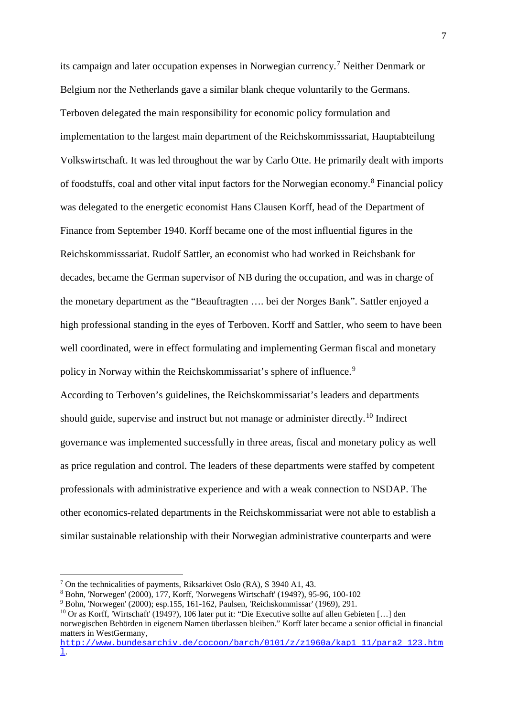its campaign and later occupation expenses in Norwegian currency.[7](#page-6-0) Neither Denmark or Belgium nor the Netherlands gave a similar blank cheque voluntarily to the Germans. Terboven delegated the main responsibility for economic policy formulation and implementation to the largest main department of the Reichskommisssariat, Hauptabteilung Volkswirtschaft. It was led throughout the war by Carlo Otte. He primarily dealt with imports of foodstuffs, coal and other vital input factors for the Norwegian economy.[8](#page-6-1) Financial policy was delegated to the energetic economist Hans Clausen Korff, head of the Department of Finance from September 1940. Korff became one of the most influential figures in the Reichskommisssariat. Rudolf Sattler, an economist who had worked in Reichsbank for decades, became the German supervisor of NB during the occupation, and was in charge of the monetary department as the "Beauftragten …. bei der Norges Bank". Sattler enjoyed a high professional standing in the eyes of Terboven. Korff and Sattler, who seem to have been well coordinated, were in effect formulating and implementing German fiscal and monetary policy in Norway within the Reichskommissariat's sphere of influence.<sup>[9](#page-6-2)</sup>

According to Terboven's guidelines, the Reichskommissariat's leaders and departments should guide, supervise and instruct but not manage or administer directly.<sup>[10](#page-6-3)</sup> Indirect governance was implemented successfully in three areas, fiscal and monetary policy as well as price regulation and control. The leaders of these departments were staffed by competent professionals with administrative experience and with a weak connection to NSDAP. The other economics-related departments in the Reichskommissariat were not able to establish a similar sustainable relationship with their Norwegian administrative counterparts and were

<span id="page-6-0"></span><sup>&</sup>lt;sup>7</sup> On the technicalities of payments, Riksarkivet Oslo (RA), S 3940 A1, 43.<br><sup>8</sup> Bohn, 'Norwegen' (2000), 177, Korff, 'Norwegens Wirtschaft' (1949?), 95-96, 100-102

<span id="page-6-1"></span>

<span id="page-6-2"></span><sup>9</sup> Bohn, 'Norwegen' (2000); esp.155, 161-162, Paulsen, 'Reichskommissar' (1969), 291.

<span id="page-6-3"></span><sup>10</sup> Or as Korff, 'Wirtschaft' (1949?), 106 later put it: "Die Executive sollte auf allen Gebieten […] den norwegischen Behörden in eigenem Namen überlassen bleiben." Korff later became a senior official in financial matters in WestGermany,

[http://www.bundesarchiv.de/cocoon/barch/0101/z/z1960a/kap1\\_11/para2\\_123.htm](http://www.bundesarchiv.de/cocoon/barch/0101/z/z1960a/kap1_11/para2_123.html) [l](http://www.bundesarchiv.de/cocoon/barch/0101/z/z1960a/kap1_11/para2_123.html).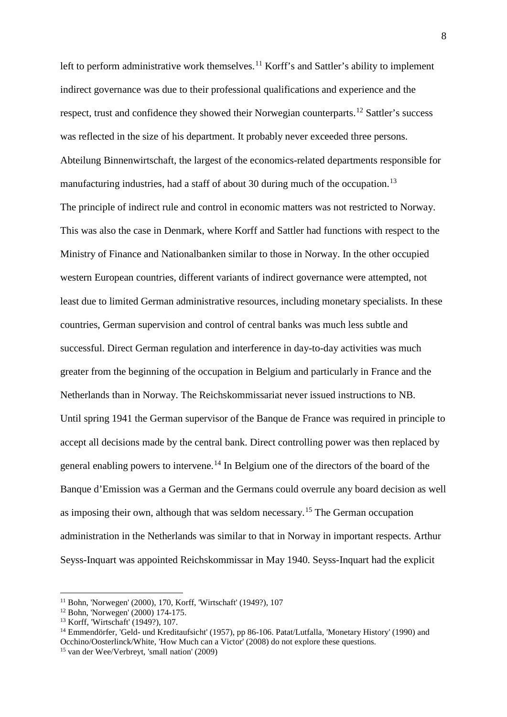left to perform administrative work themselves.<sup>[11](#page-7-0)</sup> Korff's and Sattler's ability to implement indirect governance was due to their professional qualifications and experience and the respect, trust and confidence they showed their Norwegian counterparts.<sup>[12](#page-7-1)</sup> Sattler's success was reflected in the size of his department. It probably never exceeded three persons. Abteilung Binnenwirtschaft, the largest of the economics-related departments responsible for manufacturing industries, had a staff of about 30 during much of the occupation.<sup>[13](#page-7-2)</sup> The principle of indirect rule and control in economic matters was not restricted to Norway. This was also the case in Denmark, where Korff and Sattler had functions with respect to the Ministry of Finance and Nationalbanken similar to those in Norway. In the other occupied western European countries, different variants of indirect governance were attempted, not least due to limited German administrative resources, including monetary specialists. In these countries, German supervision and control of central banks was much less subtle and successful. Direct German regulation and interference in day-to-day activities was much greater from the beginning of the occupation in Belgium and particularly in France and the Netherlands than in Norway. The Reichskommissariat never issued instructions to NB. Until spring 1941 the German supervisor of the Banque de France was required in principle to accept all decisions made by the central bank. Direct controlling power was then replaced by general enabling powers to intervene.<sup>[14](#page-7-3)</sup> In Belgium one of the directors of the board of the Banque d'Emission was a German and the Germans could overrule any board decision as well as imposing their own, although that was seldom necessary.<sup>[15](#page-7-4)</sup> The German occupation administration in the Netherlands was similar to that in Norway in important respects. Arthur Seyss-Inquart was appointed Reichskommissar in May 1940. Seyss-Inquart had the explicit

<span id="page-7-0"></span><sup>11</sup> Bohn, 'Norwegen' (2000), 170, Korff, 'Wirtschaft' (1949?), 107

<span id="page-7-1"></span><sup>12</sup> Bohn, 'Norwegen' (2000) 174-175.

<span id="page-7-2"></span><sup>13</sup> Korff, 'Wirtschaft' (1949?), 107.

<span id="page-7-3"></span><sup>14</sup> Emmendörfer, 'Geld- und Kreditaufsicht' (1957), pp 86-106. Patat/Lutfalla, 'Monetary History' (1990) and Occhino/Oosterlinck/White, 'How Much can a Victor' (2008) do not explore these questions.

<span id="page-7-4"></span><sup>15</sup> van der Wee/Verbreyt, 'small nation' (2009)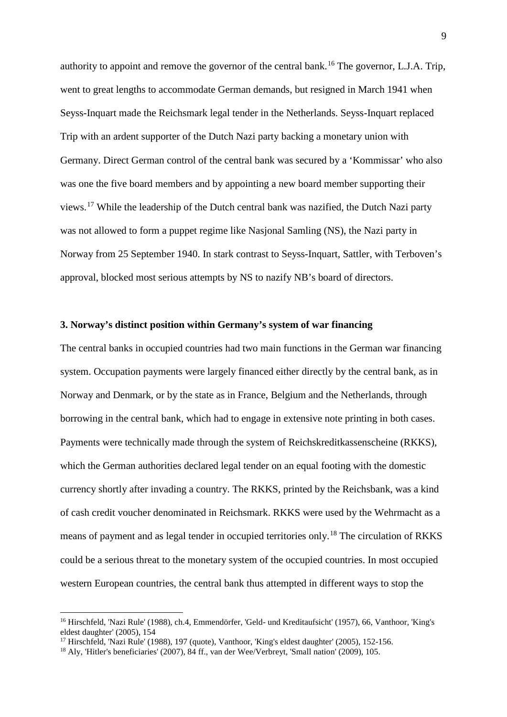authority to appoint and remove the governor of the central bank.<sup>[16](#page-8-0)</sup> The governor, L.J.A. Trip, went to great lengths to accommodate German demands, but resigned in March 1941 when Seyss-Inquart made the Reichsmark legal tender in the Netherlands. Seyss-Inquart replaced Trip with an ardent supporter of the Dutch Nazi party backing a monetary union with Germany. Direct German control of the central bank was secured by a 'Kommissar' who also was one the five board members and by appointing a new board member supporting their views.[17](#page-8-1) While the leadership of the Dutch central bank was nazified, the Dutch Nazi party was not allowed to form a puppet regime like Nasjonal Samling (NS), the Nazi party in Norway from 25 September 1940. In stark contrast to Seyss-Inquart, Sattler, with Terboven's approval, blocked most serious attempts by NS to nazify NB's board of directors.

# **3. Norway's distinct position within Germany's system of war financing**

The central banks in occupied countries had two main functions in the German war financing system. Occupation payments were largely financed either directly by the central bank, as in Norway and Denmark, or by the state as in France, Belgium and the Netherlands, through borrowing in the central bank, which had to engage in extensive note printing in both cases. Payments were technically made through the system of Reichskreditkassenscheine (RKKS), which the German authorities declared legal tender on an equal footing with the domestic currency shortly after invading a country. The RKKS, printed by the Reichsbank, was a kind of cash credit voucher denominated in Reichsmark. RKKS were used by the Wehrmacht as a means of payment and as legal tender in occupied territories only.[18](#page-8-2) The circulation of RKKS could be a serious threat to the monetary system of the occupied countries. In most occupied western European countries, the central bank thus attempted in different ways to stop the

<span id="page-8-0"></span><sup>&</sup>lt;sup>16</sup> Hirschfeld, 'Nazi Rule' (1988), ch.4, Emmendörfer, 'Geld- und Kreditaufsicht' (1957), 66, Vanthoor, 'King's eldest daughter' (2005), 154

<span id="page-8-1"></span><sup>&</sup>lt;sup>17</sup> Hirschfeld, 'Nazi Rule' (1988), 197 (quote), Vanthoor, 'King's eldest daughter' (2005), 152-156.

<span id="page-8-2"></span><sup>18</sup> Aly, 'Hitler's beneficiaries' (2007), 84 ff., van der Wee/Verbreyt, 'Small nation' (2009), 105.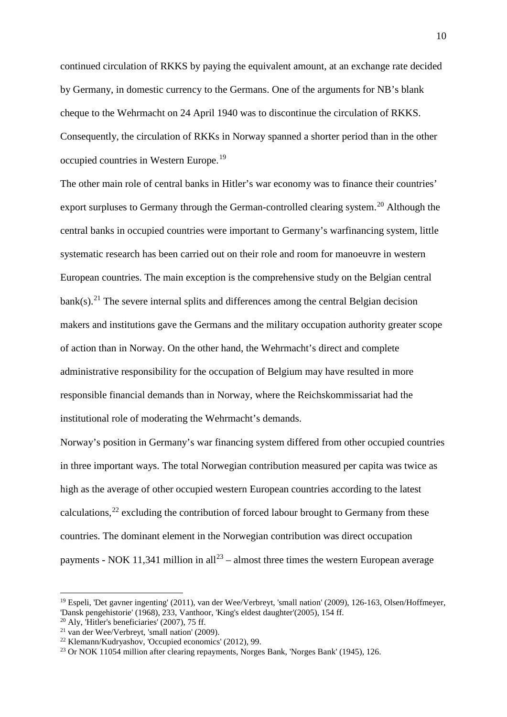continued circulation of RKKS by paying the equivalent amount, at an exchange rate decided by Germany, in domestic currency to the Germans. One of the arguments for NB's blank cheque to the Wehrmacht on 24 April 1940 was to discontinue the circulation of RKKS. Consequently, the circulation of RKKs in Norway spanned a shorter period than in the other occupied countries in Western Europe.<sup>[19](#page-9-0)</sup>

The other main role of central banks in Hitler's war economy was to finance their countries' export surpluses to Germany through the German-controlled clearing system.<sup>[20](#page-9-1)</sup> Although the central banks in occupied countries were important to Germany's warfinancing system, little systematic research has been carried out on their role and room for manoeuvre in western European countries. The main exception is the comprehensive study on the Belgian central  $bank(s)$ .<sup>[21](#page-9-2)</sup> The severe internal splits and differences among the central Belgian decision makers and institutions gave the Germans and the military occupation authority greater scope of action than in Norway. On the other hand, the Wehrmacht's direct and complete administrative responsibility for the occupation of Belgium may have resulted in more responsible financial demands than in Norway, where the Reichskommissariat had the institutional role of moderating the Wehrmacht's demands.

Norway's position in Germany's war financing system differed from other occupied countries in three important ways. The total Norwegian contribution measured per capita was twice as high as the average of other occupied western European countries according to the latest calculations,  $^{22}$  $^{22}$  $^{22}$  excluding the contribution of forced labour brought to Germany from these countries. The dominant element in the Norwegian contribution was direct occupation payments - NOK 11,341 million in all<sup>[23](#page-9-4)</sup> – almost three times the western European average

<span id="page-9-0"></span><sup>19</sup> Espeli, 'Det gavner ingenting' (2011), van der Wee/Verbreyt, 'small nation' (2009), 126-163, Olsen/Hoffmeyer, 'Dansk pengehistorie' (1968), 233, Vanthoor, 'King's eldest daughter'(2005), 154 ff.

 $20$  Aly, 'Hitler's beneficiaries' (2007), 75 ff.

<span id="page-9-2"></span><span id="page-9-1"></span><sup>21</sup> van der Wee/Verbreyt, 'small nation' (2009).

<span id="page-9-3"></span><sup>22</sup> Klemann/Kudryashov, 'Occupied economics' (2012), 99.

<span id="page-9-4"></span><sup>23</sup> Or NOK 11054 million after clearing repayments, Norges Bank, 'Norges Bank' (1945), 126.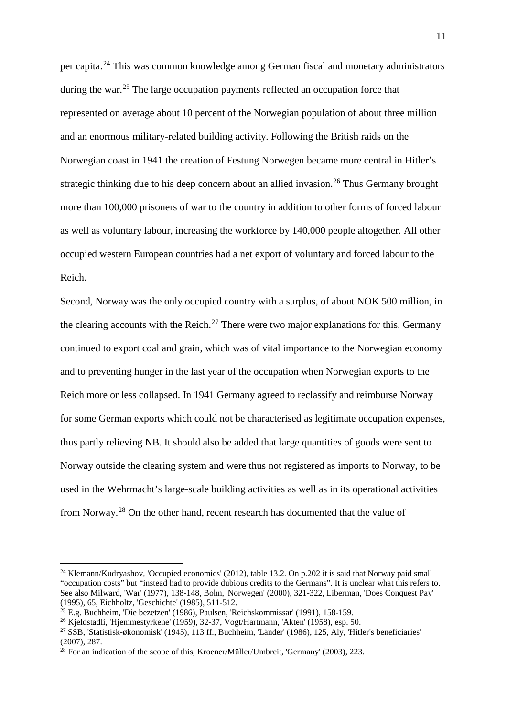per capita.<sup>[24](#page-10-0)</sup> This was common knowledge among German fiscal and monetary administrators during the war.<sup>[25](#page-10-1)</sup> The large occupation payments reflected an occupation force that represented on average about 10 percent of the Norwegian population of about three million and an enormous military-related building activity. Following the British raids on the Norwegian coast in 1941 the creation of Festung Norwegen became more central in Hitler's strategic thinking due to his deep concern about an allied invasion.<sup>[26](#page-10-2)</sup> Thus Germany brought more than 100,000 prisoners of war to the country in addition to other forms of forced labour as well as voluntary labour, increasing the workforce by 140,000 people altogether. All other occupied western European countries had a net export of voluntary and forced labour to the Reich.

Second, Norway was the only occupied country with a surplus, of about NOK 500 million, in the clearing accounts with the Reich.<sup>[27](#page-10-3)</sup> There were two major explanations for this. Germany continued to export coal and grain, which was of vital importance to the Norwegian economy and to preventing hunger in the last year of the occupation when Norwegian exports to the Reich more or less collapsed. In 1941 Germany agreed to reclassify and reimburse Norway for some German exports which could not be characterised as legitimate occupation expenses, thus partly relieving NB. It should also be added that large quantities of goods were sent to Norway outside the clearing system and were thus not registered as imports to Norway, to be used in the Wehrmacht's large-scale building activities as well as in its operational activities from Norway.[28](#page-10-4) On the other hand, recent research has documented that the value of

<span id="page-10-0"></span><sup>&</sup>lt;sup>24</sup> Klemann/Kudryashov, 'Occupied economics' (2012), table 13.2. On p.202 it is said that Norway paid small "occupation costs" but "instead had to provide dubious credits to the Germans". It is unclear what this refers to. See also Milward, 'War' (1977), 138-148, Bohn, 'Norwegen' (2000), 321-322, Liberman, 'Does Conquest Pay' (1995), 65. Eichholtz, 'Geschichte' (1985), 511-512.

<span id="page-10-1"></span><sup>&</sup>lt;sup>25</sup> E.g. Buchheim, 'Die bezetzen' (1986), Paulsen, 'Reichskommissar' (1991), 158-159. <sup>26</sup> Kjeldstadli, 'Hjemmestyrkene' (1959), 32-37, Vogt/Hartmann, 'Akten' (1958), esp. 50.

<span id="page-10-2"></span>

<span id="page-10-3"></span><sup>&</sup>lt;sup>27</sup> SSB, 'Statistisk-økonomisk' (1945), 113 ff., Buchheim, 'Länder' (1986), 125, Aly, 'Hitler's beneficiaries' (2007), 287.

<span id="page-10-4"></span><sup>&</sup>lt;sup>28</sup> For an indication of the scope of this, Kroener/Müller/Umbreit, 'Germany' (2003), 223.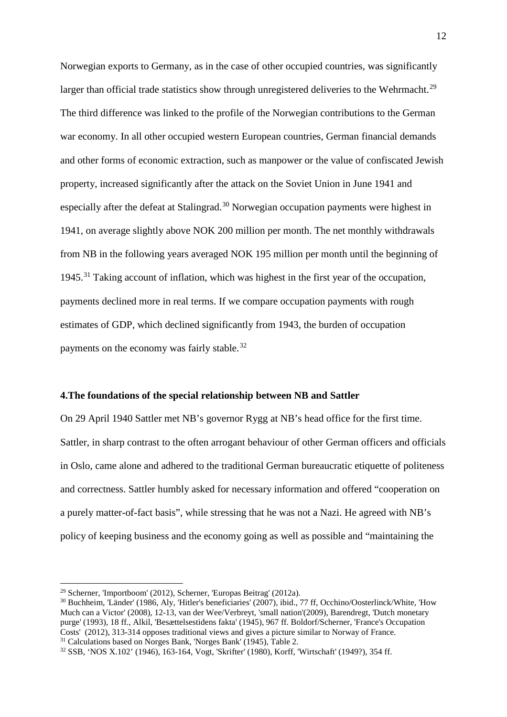Norwegian exports to Germany, as in the case of other occupied countries, was significantly larger than official trade statistics show through unregistered deliveries to the Wehrmacht.<sup>[29](#page-11-0)</sup> The third difference was linked to the profile of the Norwegian contributions to the German war economy. In all other occupied western European countries, German financial demands and other forms of economic extraction, such as manpower or the value of confiscated Jewish property, increased significantly after the attack on the Soviet Union in June 1941 and especially after the defeat at Stalingrad.<sup>[30](#page-11-1)</sup> Norwegian occupation payments were highest in 1941, on average slightly above NOK 200 million per month. The net monthly withdrawals from NB in the following years averaged NOK 195 million per month until the beginning of 1945.<sup>[31](#page-11-2)</sup> Taking account of inflation, which was highest in the first year of the occupation, payments declined more in real terms. If we compare occupation payments with rough estimates of GDP, which declined significantly from 1943, the burden of occupation payments on the economy was fairly stable.<sup>[32](#page-11-3)</sup>

# **4.The foundations of the special relationship between NB and Sattler**

On 29 April 1940 Sattler met NB's governor Rygg at NB's head office for the first time. Sattler, in sharp contrast to the often arrogant behaviour of other German officers and officials in Oslo, came alone and adhered to the traditional German bureaucratic etiquette of politeness and correctness. Sattler humbly asked for necessary information and offered "cooperation on a purely matter-of-fact basis", while stressing that he was not a Nazi. He agreed with NB's policy of keeping business and the economy going as well as possible and "maintaining the

<span id="page-11-0"></span><sup>29</sup> Scherner, 'Importboom' (2012), Scherner, 'Europas Beitrag' (2012a).

<span id="page-11-1"></span><sup>30</sup> Buchheim, 'Länder' (1986, Aly, 'Hitler's beneficiaries' (2007), ibid., 77 ff, Occhino/Oosterlinck/White, 'How Much can a Victor' (2008), 12-13, van der Wee/Verbreyt, 'small nation'(2009), Barendregt, 'Dutch monetary purge' (1993), 18 ff., Alkil, 'Besættelsestidens fakta' (1945), 967 ff. Boldorf/Scherner, 'France's Occupation Costs' (2012), 313-314 opposes traditional views and gives a picture similar to Norway of France. 31 Calculations based on Norges Bank, 'Norges Bank' (1945), Table 2.

<span id="page-11-3"></span><span id="page-11-2"></span><sup>32</sup> SSB, 'NOS X.102' (1946), 163-164, Vogt, 'Skrifter' (1980), Korff, 'Wirtschaft' (1949?), 354 ff.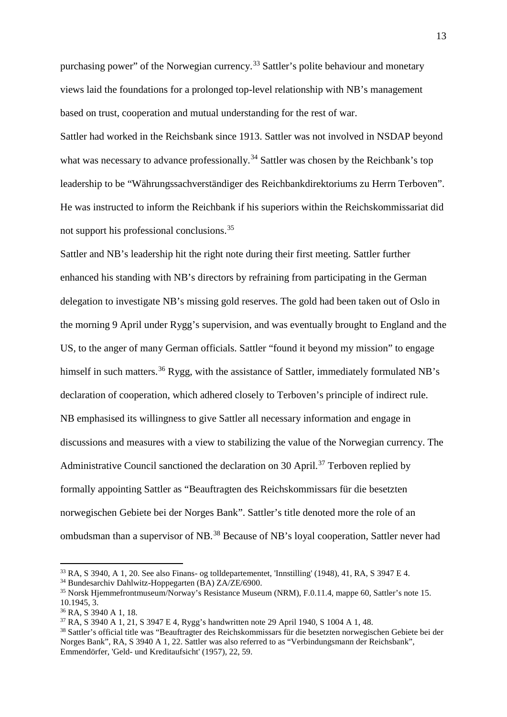purchasing power" of the Norwegian currency.<sup>[33](#page-12-0)</sup> Sattler's polite behaviour and monetary views laid the foundations for a prolonged top-level relationship with NB's management based on trust, cooperation and mutual understanding for the rest of war.

Sattler had worked in the Reichsbank since 1913. Sattler was not involved in NSDAP beyond what was necessary to advance professionally.<sup>[34](#page-12-1)</sup> Sattler was chosen by the Reichbank's top leadership to be "Währungssachverständiger des Reichbankdirektoriums zu Herrn Terboven". He was instructed to inform the Reichbank if his superiors within the Reichskommissariat did not support his professional conclusions.[35](#page-12-2)

Sattler and NB's leadership hit the right note during their first meeting. Sattler further enhanced his standing with NB's directors by refraining from participating in the German delegation to investigate NB's missing gold reserves. The gold had been taken out of Oslo in the morning 9 April under Rygg's supervision, and was eventually brought to England and the US, to the anger of many German officials. Sattler "found it beyond my mission" to engage himself in such matters.<sup>[36](#page-12-3)</sup> Rygg, with the assistance of Sattler, immediately formulated NB's declaration of cooperation, which adhered closely to Terboven's principle of indirect rule. NB emphasised its willingness to give Sattler all necessary information and engage in discussions and measures with a view to stabilizing the value of the Norwegian currency. The Administrative Council sanctioned the declaration on 30 April.<sup>[37](#page-12-4)</sup> Terboven replied by formally appointing Sattler as "Beauftragten des Reichskommissars für die besetzten norwegischen Gebiete bei der Norges Bank". Sattler's title denoted more the role of an ombudsman than a supervisor of NB.[38](#page-12-5) Because of NB's loyal cooperation, Sattler never had

<span id="page-12-1"></span><span id="page-12-0"></span><sup>&</sup>lt;sup>33</sup> RA, S 3940, A 1, 20. See also Finans- og tolldepartementet, 'Innstilling' (1948), 41, RA, S 3947 E 4.<br><sup>34</sup> Bundesarchiv Dahlwitz-Hoppegarten (BA) ZA/ZE/6900.

<span id="page-12-2"></span><sup>&</sup>lt;sup>35</sup> Norsk Hjemmefrontmuseum/Norway's Resistance Museum (NRM), F.0.11.4, mappe 60, Sattler's note 15. 10.1945, 3.

<span id="page-12-3"></span><sup>36</sup> RA, S 3940 A 1, 18.

<sup>37</sup> RA, S 3940 A 1, 21, S 3947 E 4, Rygg's handwritten note 29 April 1940, S 1004 A 1, 48.

<span id="page-12-5"></span><span id="page-12-4"></span><sup>&</sup>lt;sup>38</sup> Sattler's official title was "Beauftragter des Reichskommissars für die besetzten norwegischen Gebiete bei der Norges Bank", RA, S 3940 A 1, 22. Sattler was also referred to as "Verbindungsmann der Reichsbank", Emmendörfer, 'Geld- und Kreditaufsicht' (1957), 22, 59.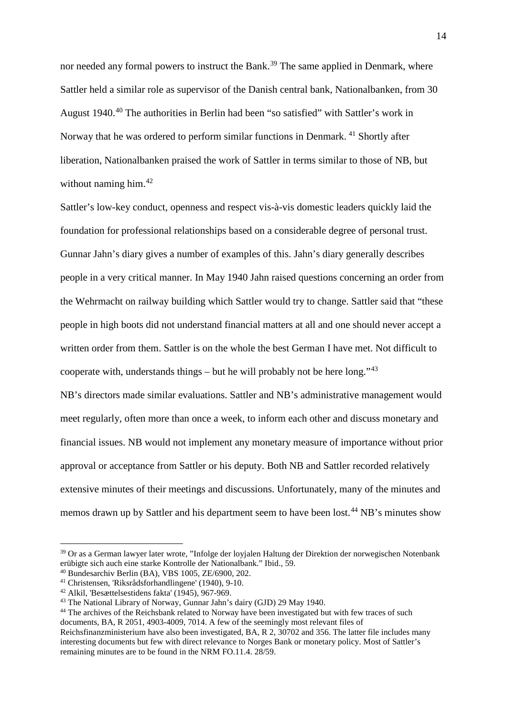nor needed any formal powers to instruct the Bank.<sup>[39](#page-13-0)</sup> The same applied in Denmark, where Sattler held a similar role as supervisor of the Danish central bank, Nationalbanken, from 30 August 1940.[40](#page-13-1) The authorities in Berlin had been "so satisfied" with Sattler's work in Norway that he was ordered to perform similar functions in Denmark. [41](#page-13-2) Shortly after liberation, Nationalbanken praised the work of Sattler in terms similar to those of NB, but without naming him.<sup>[42](#page-13-3)</sup>

Sattler's low-key conduct, openness and respect vis-à-vis domestic leaders quickly laid the foundation for professional relationships based on a considerable degree of personal trust. Gunnar Jahn's diary gives a number of examples of this. Jahn's diary generally describes people in a very critical manner. In May 1940 Jahn raised questions concerning an order from the Wehrmacht on railway building which Sattler would try to change. Sattler said that "these people in high boots did not understand financial matters at all and one should never accept a written order from them. Sattler is on the whole the best German I have met. Not difficult to cooperate with, understands things – but he will probably not be here long." $43$ NB's directors made similar evaluations. Sattler and NB's administrative management would

meet regularly, often more than once a week, to inform each other and discuss monetary and financial issues. NB would not implement any monetary measure of importance without prior approval or acceptance from Sattler or his deputy. Both NB and Sattler recorded relatively extensive minutes of their meetings and discussions. Unfortunately, many of the minutes and memos drawn up by Sattler and his department seem to have been lost.<sup>[44](#page-13-5)</sup> NB's minutes show

<span id="page-13-0"></span><sup>&</sup>lt;sup>39</sup> Or as a German lawyer later wrote, "Infolge der loyjalen Haltung der Direktion der norwegischen Notenbank erübigte sich auch eine starke Kontrolle der Nationalbank." Ibid., 59.

<span id="page-13-1"></span> $^{40}$  Bundesarchiv Berlin (BA), VBS 1005, ZE/6900, 202.

<span id="page-13-2"></span><sup>41</sup> Christensen, 'Riksrådsforhandlingene' (1940), 9-10.

<span id="page-13-3"></span><sup>42</sup> Alkil, 'Besættelsestidens fakta' (1945), 967-969.

<span id="page-13-4"></span><sup>43</sup> The National Library of Norway, Gunnar Jahn's dairy (GJD) 29 May 1940.

<span id="page-13-5"></span><sup>44</sup> The archives of the Reichsbank related to Norway have been investigated but with few traces of such documents, BA, R 2051, 4903-4009, 7014. A few of the seemingly most relevant files of

Reichsfinanzministerium have also been investigated, BA, R 2, 30702 and 356. The latter file includes many interesting documents but few with direct relevance to Norges Bank or monetary policy. Most of Sattler's remaining minutes are to be found in the NRM FO.11.4. 28/59.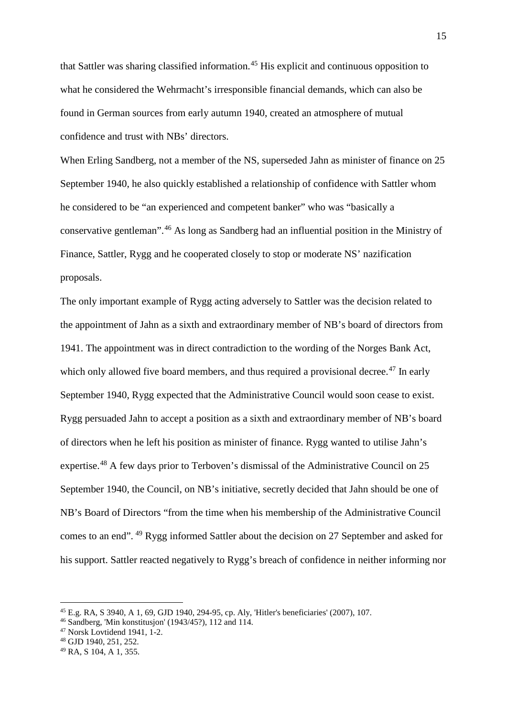that Sattler was sharing classified information.<sup>[45](#page-14-0)</sup> His explicit and continuous opposition to what he considered the Wehrmacht's irresponsible financial demands, which can also be found in German sources from early autumn 1940, created an atmosphere of mutual confidence and trust with NBs' directors.

When Erling Sandberg, not a member of the NS, superseded Jahn as minister of finance on 25 September 1940, he also quickly established a relationship of confidence with Sattler whom he considered to be "an experienced and competent banker" who was "basically a conservative gentleman".[46](#page-14-1) As long as Sandberg had an influential position in the Ministry of Finance, Sattler, Rygg and he cooperated closely to stop or moderate NS' nazification proposals.

The only important example of Rygg acting adversely to Sattler was the decision related to the appointment of Jahn as a sixth and extraordinary member of NB's board of directors from 1941. The appointment was in direct contradiction to the wording of the Norges Bank Act, which only allowed five board members, and thus required a provisional decree.<sup>[47](#page-14-2)</sup> In early September 1940, Rygg expected that the Administrative Council would soon cease to exist. Rygg persuaded Jahn to accept a position as a sixth and extraordinary member of NB's board of directors when he left his position as minister of finance. Rygg wanted to utilise Jahn's expertise.<sup>[48](#page-14-3)</sup> A few days prior to Terboven's dismissal of the Administrative Council on 25 September 1940, the Council, on NB's initiative, secretly decided that Jahn should be one of NB's Board of Directors "from the time when his membership of the Administrative Council comes to an end". [49](#page-14-4) Rygg informed Sattler about the decision on 27 September and asked for his support. Sattler reacted negatively to Rygg's breach of confidence in neither informing nor

<span id="page-14-0"></span><sup>45</sup> E.g. RA, S 3940, A 1, 69, GJD 1940, 294-95, cp. Aly, 'Hitler's beneficiaries' (2007), 107.

<span id="page-14-1"></span><sup>46</sup> Sandberg, 'Min konstitusjon' (1943/45?), 112 and 114.

<span id="page-14-2"></span> $47$  Norsk Lovtidend 1941, 1-2.

<span id="page-14-3"></span><sup>48</sup> GJD 1940, 251, 252.

<span id="page-14-4"></span><sup>49</sup> RA, S 104, A 1, 355.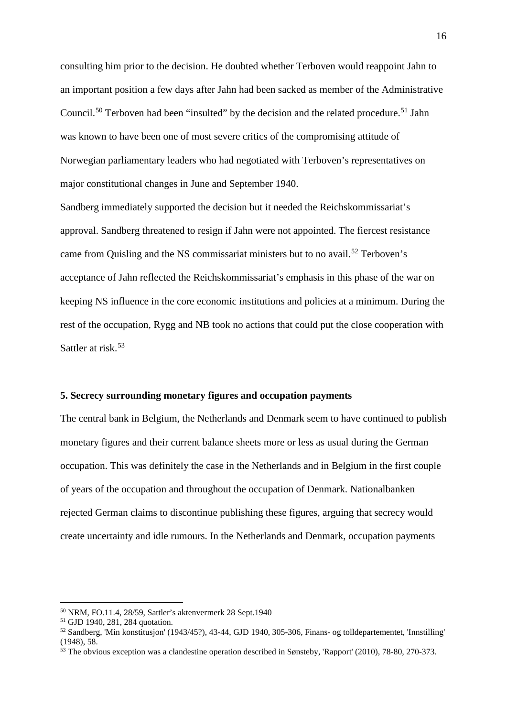consulting him prior to the decision. He doubted whether Terboven would reappoint Jahn to an important position a few days after Jahn had been sacked as member of the Administrative Council.<sup>[50](#page-15-0)</sup> Terboven had been "insulted" by the decision and the related procedure.<sup>[51](#page-15-1)</sup> Jahn was known to have been one of most severe critics of the compromising attitude of Norwegian parliamentary leaders who had negotiated with Terboven's representatives on major constitutional changes in June and September 1940.

Sandberg immediately supported the decision but it needed the Reichskommissariat's approval. Sandberg threatened to resign if Jahn were not appointed. The fiercest resistance came from Quisling and the NS commissariat ministers but to no avail.<sup>[52](#page-15-2)</sup> Terboven's acceptance of Jahn reflected the Reichskommissariat's emphasis in this phase of the war on keeping NS influence in the core economic institutions and policies at a minimum. During the rest of the occupation, Rygg and NB took no actions that could put the close cooperation with Sattler at risk.<sup>[53](#page-15-3)</sup>

# **5. Secrecy surrounding monetary figures and occupation payments**

The central bank in Belgium, the Netherlands and Denmark seem to have continued to publish monetary figures and their current balance sheets more or less as usual during the German occupation. This was definitely the case in the Netherlands and in Belgium in the first couple of years of the occupation and throughout the occupation of Denmark. Nationalbanken rejected German claims to discontinue publishing these figures, arguing that secrecy would create uncertainty and idle rumours. In the Netherlands and Denmark, occupation payments

<span id="page-15-0"></span><sup>50</sup> NRM, FO.11.4, 28/59, Sattler's aktenvermerk 28 Sept.1940

<sup>51</sup> GJD 1940, 281, 284 quotation.

<span id="page-15-2"></span><span id="page-15-1"></span><sup>52</sup> Sandberg, 'Min konstitusjon' (1943/45?), 43-44, GJD 1940, 305-306, Finans- og tolldepartementet, 'Innstilling' (1948), 58.

<span id="page-15-3"></span> $\frac{53}{10}$  The obvious exception was a clandestine operation described in Sønsteby, 'Rapport' (2010), 78-80, 270-373.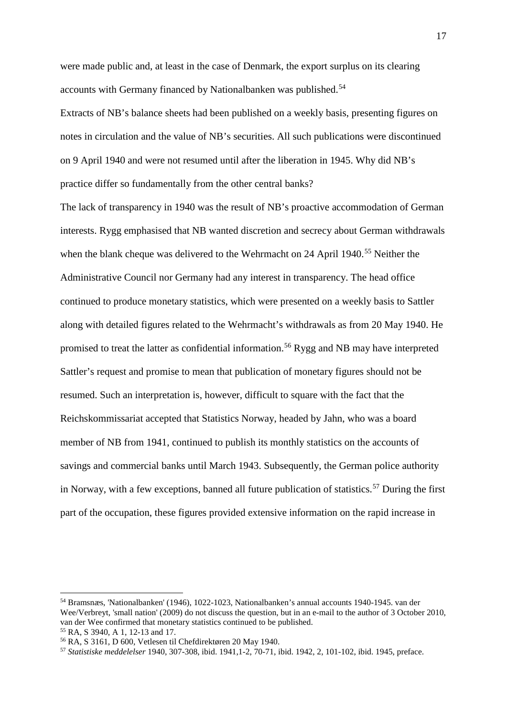were made public and, at least in the case of Denmark, the export surplus on its clearing accounts with Germany financed by Nationalbanken was published.<sup>[54](#page-16-0)</sup>

Extracts of NB's balance sheets had been published on a weekly basis, presenting figures on notes in circulation and the value of NB's securities. All such publications were discontinued on 9 April 1940 and were not resumed until after the liberation in 1945. Why did NB's practice differ so fundamentally from the other central banks?

The lack of transparency in 1940 was the result of NB's proactive accommodation of German interests. Rygg emphasised that NB wanted discretion and secrecy about German withdrawals when the blank cheque was delivered to the Wehrmacht on 24 April 1940.<sup>[55](#page-16-1)</sup> Neither the Administrative Council nor Germany had any interest in transparency. The head office continued to produce monetary statistics, which were presented on a weekly basis to Sattler along with detailed figures related to the Wehrmacht's withdrawals as from 20 May 1940. He promised to treat the latter as confidential information.<sup>[56](#page-16-2)</sup> Rygg and NB may have interpreted Sattler's request and promise to mean that publication of monetary figures should not be resumed. Such an interpretation is, however, difficult to square with the fact that the Reichskommissariat accepted that Statistics Norway, headed by Jahn, who was a board member of NB from 1941, continued to publish its monthly statistics on the accounts of savings and commercial banks until March 1943. Subsequently, the German police authority in Norway, with a few exceptions, banned all future publication of statistics.<sup>[57](#page-16-3)</sup> During the first part of the occupation, these figures provided extensive information on the rapid increase in

<span id="page-16-0"></span><sup>54</sup> Bramsnæs, 'Nationalbanken' (1946), 1022-1023, Nationalbanken's annual accounts 1940-1945. van der Wee/Verbreyt, 'small nation' (2009) do not discuss the question, but in an e-mail to the author of 3 October 2010, van der Wee confirmed that monetary statistics continued to be published.

<span id="page-16-3"></span>

<span id="page-16-2"></span><span id="page-16-1"></span><sup>&</sup>lt;sup>55</sup> RA, S 3940, A 1, 12-13 and 17.<br><sup>56</sup> RA, S 3161, D 600, Vetlesen til Chefdirektøren 20 May 1940.<br><sup>57</sup> Statistiske meddelelser 1940, 307-308, ibid. 1941, 1-2, 70-71, ibid. 1942, 2, 101-102, ibid. 1945, preface.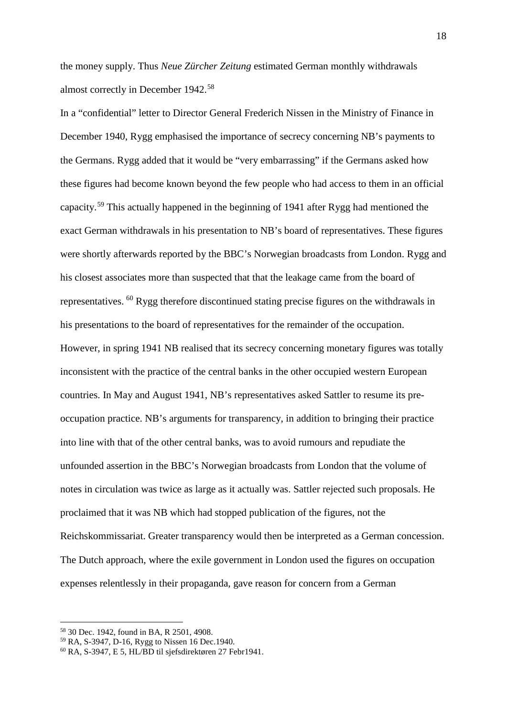the money supply. Thus *Neue Zürcher Zeitung* estimated German monthly withdrawals almost correctly in December 1942.[58](#page-17-0)

In a "confidential" letter to Director General Frederich Nissen in the Ministry of Finance in December 1940, Rygg emphasised the importance of secrecy concerning NB's payments to the Germans. Rygg added that it would be "very embarrassing" if the Germans asked how these figures had become known beyond the few people who had access to them in an official capacity.[59](#page-17-1) This actually happened in the beginning of 1941 after Rygg had mentioned the exact German withdrawals in his presentation to NB's board of representatives. These figures were shortly afterwards reported by the BBC's Norwegian broadcasts from London. Rygg and his closest associates more than suspected that that the leakage came from the board of representatives. [60](#page-17-2) Rygg therefore discontinued stating precise figures on the withdrawals in his presentations to the board of representatives for the remainder of the occupation. However, in spring 1941 NB realised that its secrecy concerning monetary figures was totally inconsistent with the practice of the central banks in the other occupied western European countries. In May and August 1941, NB's representatives asked Sattler to resume its preoccupation practice. NB's arguments for transparency, in addition to bringing their practice into line with that of the other central banks, was to avoid rumours and repudiate the unfounded assertion in the BBC's Norwegian broadcasts from London that the volume of notes in circulation was twice as large as it actually was. Sattler rejected such proposals. He proclaimed that it was NB which had stopped publication of the figures, not the Reichskommissariat. Greater transparency would then be interpreted as a German concession. The Dutch approach, where the exile government in London used the figures on occupation expenses relentlessly in their propaganda, gave reason for concern from a German

<span id="page-17-0"></span><sup>58</sup> 30 Dec. 1942, found in BA, R 2501, 4908.

<span id="page-17-1"></span><sup>59</sup> RA, S-3947, D-16, Rygg to Nissen 16 Dec.1940.

<span id="page-17-2"></span> $60$  RA, S-3947, E 5, HL/BD til sjefsdirektøren 27 Febr1941.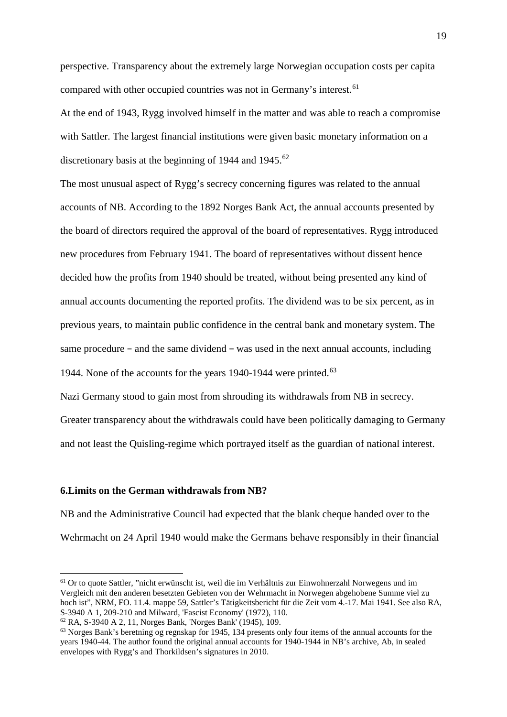perspective. Transparency about the extremely large Norwegian occupation costs per capita compared with other occupied countries was not in Germany's interest.<sup>[61](#page-18-0)</sup>

At the end of 1943, Rygg involved himself in the matter and was able to reach a compromise with Sattler. The largest financial institutions were given basic monetary information on a discretionary basis at the beginning of 1944 and 1945.<sup>[62](#page-18-1)</sup>

The most unusual aspect of Rygg's secrecy concerning figures was related to the annual accounts of NB. According to the 1892 Norges Bank Act, the annual accounts presented by the board of directors required the approval of the board of representatives. Rygg introduced new procedures from February 1941. The board of representatives without dissent hence decided how the profits from 1940 should be treated, without being presented any kind of annual accounts documenting the reported profits. The dividend was to be six percent, as in previous years, to maintain public confidence in the central bank and monetary system. The same procedure – and the same dividend – was used in the next annual accounts, including 1944. None of the accounts for the years 1940-1944 were printed.<sup>[63](#page-18-2)</sup>

Nazi Germany stood to gain most from shrouding its withdrawals from NB in secrecy.

Greater transparency about the withdrawals could have been politically damaging to Germany and not least the Quisling-regime which portrayed itself as the guardian of national interest.

# **6.Limits on the German withdrawals from NB?**

 $\overline{a}$ 

NB and the Administrative Council had expected that the blank cheque handed over to the Wehrmacht on 24 April 1940 would make the Germans behave responsibly in their financial

<span id="page-18-0"></span><sup>61</sup> Or to quote Sattler, "nicht erwünscht ist, weil die im Verhältnis zur Einwohnerzahl Norwegens und im Vergleich mit den anderen besetzten Gebieten von der Wehrmacht in Norwegen abgehobene Summe viel zu hoch ist", NRM, FO. 11.4. mappe 59, Sattler's Tätigkeitsbericht für die Zeit vom 4.-17. Mai 1941. See also RA, S-3940 A 1, 209-210 and Milward, 'Fascist Economy' (1972), 110.

<span id="page-18-1"></span><sup>62</sup> RA, S-3940 A 2, 11, Norges Bank, 'Norges Bank' (1945), 109.

<span id="page-18-2"></span><sup>&</sup>lt;sup>63</sup> Norges Bank's beretning og regnskap for 1945, 134 presents only four items of the annual accounts for the years 1940-44. The author found the original annual accounts for 1940-1944 in NB's archive, Ab, in sealed envelopes with Rygg's and Thorkildsen's signatures in 2010.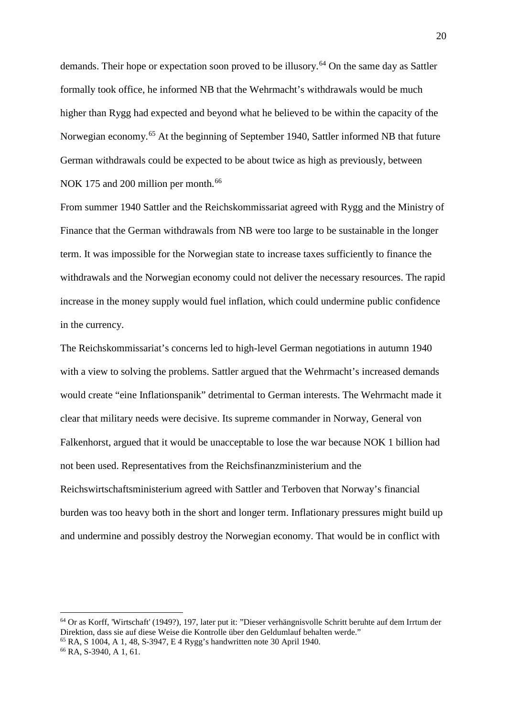demands. Their hope or expectation soon proved to be illusory.<sup>[64](#page-19-0)</sup> On the same day as Sattler formally took office, he informed NB that the Wehrmacht's withdrawals would be much higher than Rygg had expected and beyond what he believed to be within the capacity of the Norwegian economy.[65](#page-19-1) At the beginning of September 1940, Sattler informed NB that future German withdrawals could be expected to be about twice as high as previously, between NOK 175 and 200 million per month.<sup>[66](#page-19-2)</sup>

From summer 1940 Sattler and the Reichskommissariat agreed with Rygg and the Ministry of Finance that the German withdrawals from NB were too large to be sustainable in the longer term. It was impossible for the Norwegian state to increase taxes sufficiently to finance the withdrawals and the Norwegian economy could not deliver the necessary resources. The rapid increase in the money supply would fuel inflation, which could undermine public confidence in the currency.

The Reichskommissariat's concerns led to high-level German negotiations in autumn 1940 with a view to solving the problems. Sattler argued that the Wehrmacht's increased demands would create "eine Inflationspanik" detrimental to German interests. The Wehrmacht made it clear that military needs were decisive. Its supreme commander in Norway, General von Falkenhorst, argued that it would be unacceptable to lose the war because NOK 1 billion had not been used. Representatives from the Reichsfinanzministerium and the Reichswirtschaftsministerium agreed with Sattler and Terboven that Norway's financial burden was too heavy both in the short and longer term. Inflationary pressures might build up and undermine and possibly destroy the Norwegian economy. That would be in conflict with

<span id="page-19-0"></span> $64$  Or as Korff, 'Wirtschaft' (1949?), 197, later put it: "Dieser verhängnisvolle Schritt beruhte auf dem Irrtum der Direktion, dass sie auf diese Weise die Kontrolle über den Geldumlauf behalten werde."

<span id="page-19-1"></span> $^{65}$  RA, S 1004, A 1, 48, S-3947, E 4 Rygg's handwritten note 30 April 1940.

<span id="page-19-2"></span><sup>66</sup> RA, S-3940, A 1, 61.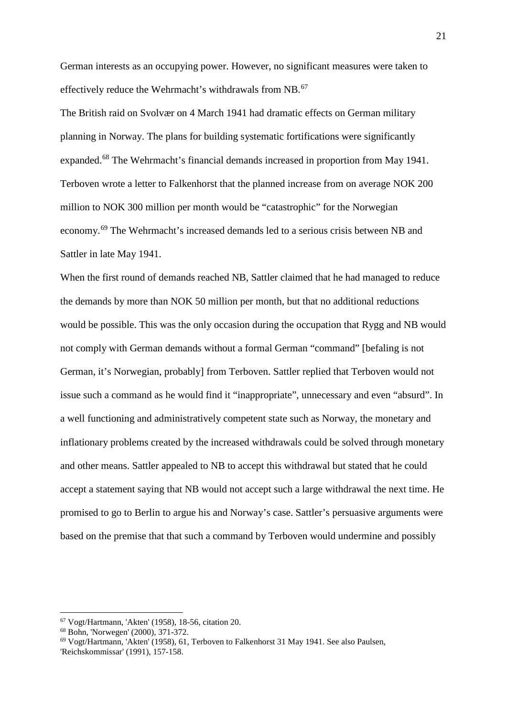German interests as an occupying power. However, no significant measures were taken to effectively reduce the Wehrmacht's withdrawals from NB.<sup>[67](#page-20-0)</sup>

The British raid on Svolvær on 4 March 1941 had dramatic effects on German military planning in Norway. The plans for building systematic fortifications were significantly expanded.[68](#page-20-1) The Wehrmacht's financial demands increased in proportion from May 1941. Terboven wrote a letter to Falkenhorst that the planned increase from on average NOK 200 million to NOK 300 million per month would be "catastrophic" for the Norwegian economy.[69](#page-20-2) The Wehrmacht's increased demands led to a serious crisis between NB and Sattler in late May 1941.

When the first round of demands reached NB, Sattler claimed that he had managed to reduce the demands by more than NOK 50 million per month, but that no additional reductions would be possible. This was the only occasion during the occupation that Rygg and NB would not comply with German demands without a formal German "command" [befaling is not German, it's Norwegian, probably] from Terboven. Sattler replied that Terboven would not issue such a command as he would find it "inappropriate", unnecessary and even "absurd". In a well functioning and administratively competent state such as Norway, the monetary and inflationary problems created by the increased withdrawals could be solved through monetary and other means. Sattler appealed to NB to accept this withdrawal but stated that he could accept a statement saying that NB would not accept such a large withdrawal the next time. He promised to go to Berlin to argue his and Norway's case. Sattler's persuasive arguments were based on the premise that that such a command by Terboven would undermine and possibly

<span id="page-20-0"></span><sup>67</sup> Vogt/Hartmann, 'Akten' (1958), 18-56, citation 20.

<span id="page-20-1"></span><sup>68</sup> Bohn, 'Norwegen' (2000), 371-372.

<span id="page-20-2"></span> $69$  Vogt/Hartmann, 'Akten' (1958), 61, Terboven to Falkenhorst 31 May 1941. See also Paulsen,

<sup>&#</sup>x27;Reichskommissar' (1991), 157-158.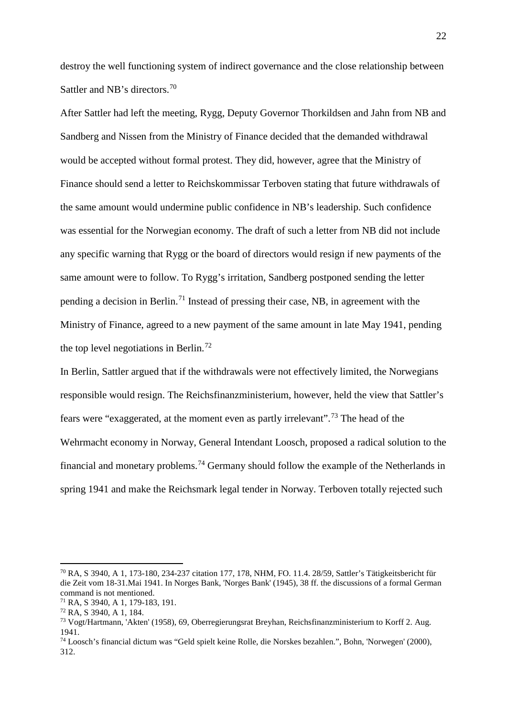destroy the well functioning system of indirect governance and the close relationship between Sattler and NB's directors.<sup>[70](#page-21-0)</sup>

After Sattler had left the meeting, Rygg, Deputy Governor Thorkildsen and Jahn from NB and Sandberg and Nissen from the Ministry of Finance decided that the demanded withdrawal would be accepted without formal protest. They did, however, agree that the Ministry of Finance should send a letter to Reichskommissar Terboven stating that future withdrawals of the same amount would undermine public confidence in NB's leadership. Such confidence was essential for the Norwegian economy. The draft of such a letter from NB did not include any specific warning that Rygg or the board of directors would resign if new payments of the same amount were to follow. To Rygg's irritation, Sandberg postponed sending the letter pending a decision in Berlin.[71](#page-21-1) Instead of pressing their case, NB, in agreement with the Ministry of Finance, agreed to a new payment of the same amount in late May 1941, pending the top level negotiations in Berlin.[72](#page-21-2)

In Berlin, Sattler argued that if the withdrawals were not effectively limited, the Norwegians responsible would resign. The Reichsfinanzministerium, however, held the view that Sattler's fears were "exaggerated, at the moment even as partly irrelevant".[73](#page-21-3) The head of the Wehrmacht economy in Norway, General Intendant Loosch, proposed a radical solution to the financial and monetary problems.<sup>[74](#page-21-4)</sup> Germany should follow the example of the Netherlands in spring 1941 and make the Reichsmark legal tender in Norway. Terboven totally rejected such

<span id="page-21-0"></span><sup>70</sup> RA, S 3940, A 1, 173-180, 234-237 citation 177, 178, NHM, FO. 11.4. 28/59, Sattler's Tätigkeitsbericht für die Zeit vom 18-31.Mai 1941. In Norges Bank, 'Norges Bank' (1945), 38 ff. the discussions of a formal German command is not mentioned.

<span id="page-21-1"></span><sup>71</sup> RA, S 3940, A 1, 179-183, 191.

<span id="page-21-2"></span><sup>72</sup> RA, S 3940, A 1, 184.

<span id="page-21-3"></span><sup>73</sup> Vogt/Hartmann, 'Akten' (1958), 69, Oberregierungsrat Breyhan, Reichsfinanzministerium to Korff 2. Aug. 1941.

<span id="page-21-4"></span><sup>74</sup> Loosch's financial dictum was "Geld spielt keine Rolle, die Norskes bezahlen.", Bohn, 'Norwegen' (2000), 312.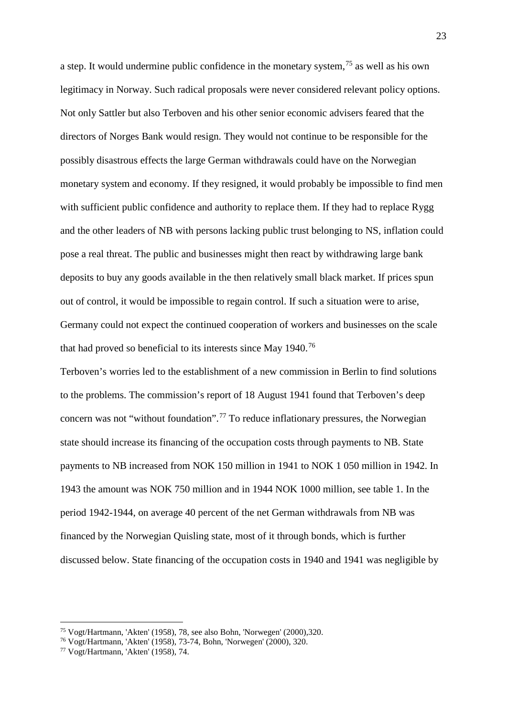a step. It would undermine public confidence in the monetary system,<sup>[75](#page-22-0)</sup> as well as his own legitimacy in Norway. Such radical proposals were never considered relevant policy options. Not only Sattler but also Terboven and his other senior economic advisers feared that the directors of Norges Bank would resign. They would not continue to be responsible for the possibly disastrous effects the large German withdrawals could have on the Norwegian monetary system and economy. If they resigned, it would probably be impossible to find men with sufficient public confidence and authority to replace them. If they had to replace Rygg and the other leaders of NB with persons lacking public trust belonging to NS, inflation could pose a real threat. The public and businesses might then react by withdrawing large bank deposits to buy any goods available in the then relatively small black market. If prices spun out of control, it would be impossible to regain control. If such a situation were to arise, Germany could not expect the continued cooperation of workers and businesses on the scale that had proved so beneficial to its interests since May 1940.[76](#page-22-1)

Terboven's worries led to the establishment of a new commission in Berlin to find solutions to the problems. The commission's report of 18 August 1941 found that Terboven's deep concern was not "without foundation".<sup>[77](#page-22-2)</sup> To reduce inflationary pressures, the Norwegian state should increase its financing of the occupation costs through payments to NB. State payments to NB increased from NOK 150 million in 1941 to NOK 1 050 million in 1942. In 1943 the amount was NOK 750 million and in 1944 NOK 1000 million, see table 1. In the period 1942-1944, on average 40 percent of the net German withdrawals from NB was financed by the Norwegian Quisling state, most of it through bonds, which is further discussed below. State financing of the occupation costs in 1940 and 1941 was negligible by

<sup>75</sup> Vogt/Hartmann, 'Akten' (1958), 78, see also Bohn, 'Norwegen' (2000),320.

<span id="page-22-1"></span><span id="page-22-0"></span><sup>76</sup> Vogt/Hartmann, 'Akten' (1958), 73-74, Bohn, 'Norwegen' (2000), 320.

<span id="page-22-2"></span><sup>77</sup> Vogt/Hartmann, 'Akten' (1958), 74.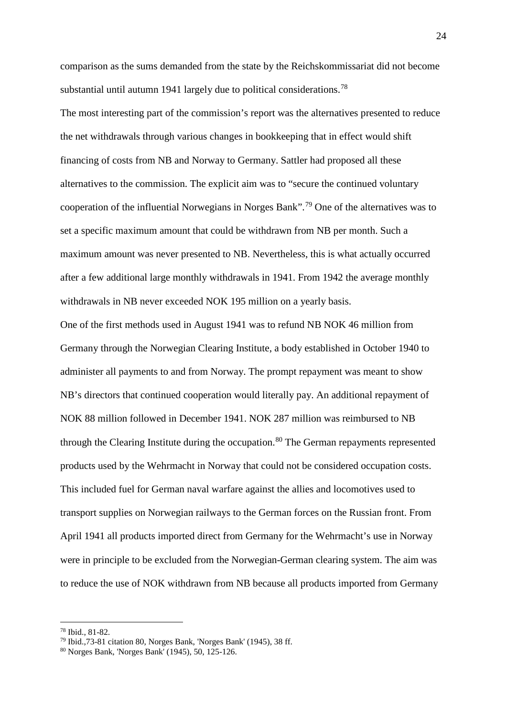comparison as the sums demanded from the state by the Reichskommissariat did not become substantial until autumn 1941 largely due to political considerations.<sup>[78](#page-23-0)</sup>

The most interesting part of the commission's report was the alternatives presented to reduce the net withdrawals through various changes in bookkeeping that in effect would shift financing of costs from NB and Norway to Germany. Sattler had proposed all these alternatives to the commission. The explicit aim was to "secure the continued voluntary cooperation of the influential Norwegians in Norges Bank". [79](#page-23-1) One of the alternatives was to set a specific maximum amount that could be withdrawn from NB per month. Such a maximum amount was never presented to NB. Nevertheless, this is what actually occurred after a few additional large monthly withdrawals in 1941. From 1942 the average monthly withdrawals in NB never exceeded NOK 195 million on a yearly basis.

One of the first methods used in August 1941 was to refund NB NOK 46 million from Germany through the Norwegian Clearing Institute, a body established in October 1940 to administer all payments to and from Norway. The prompt repayment was meant to show NB's directors that continued cooperation would literally pay. An additional repayment of NOK 88 million followed in December 1941. NOK 287 million was reimbursed to NB through the Clearing Institute during the occupation.<sup>[80](#page-23-2)</sup> The German repayments represented products used by the Wehrmacht in Norway that could not be considered occupation costs. This included fuel for German naval warfare against the allies and locomotives used to transport supplies on Norwegian railways to the German forces on the Russian front. From April 1941 all products imported direct from Germany for the Wehrmacht's use in Norway were in principle to be excluded from the Norwegian-German clearing system. The aim was to reduce the use of NOK withdrawn from NB because all products imported from Germany

<span id="page-23-0"></span><sup>78</sup> Ibid., 81-82.

<span id="page-23-1"></span> $79$  Ibid.,  $73-81$  citation 80, Norges Bank, 'Norges Bank' (1945), 38 ff.

<span id="page-23-2"></span><sup>80</sup> Norges Bank, 'Norges Bank' (1945), 50, 125-126.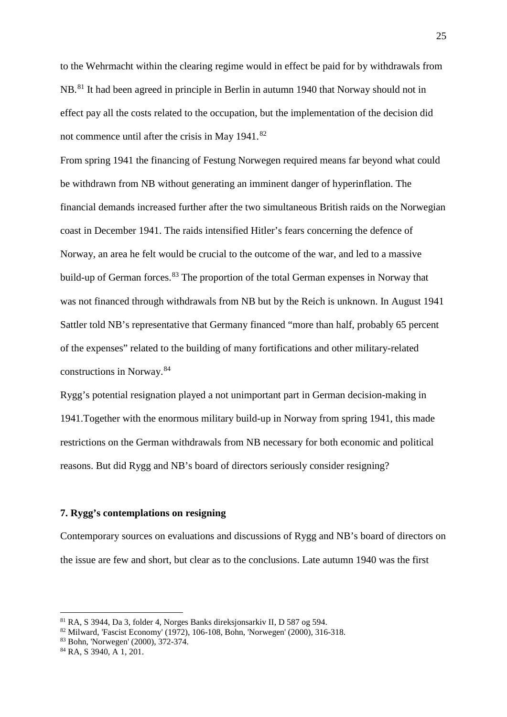to the Wehrmacht within the clearing regime would in effect be paid for by withdrawals from NB.<sup>[81](#page-24-0)</sup> It had been agreed in principle in Berlin in autumn 1940 that Norway should not in effect pay all the costs related to the occupation, but the implementation of the decision did not commence until after the crisis in May 1941.<sup>[82](#page-24-1)</sup>

From spring 1941 the financing of Festung Norwegen required means far beyond what could be withdrawn from NB without generating an imminent danger of hyperinflation. The financial demands increased further after the two simultaneous British raids on the Norwegian coast in December 1941. The raids intensified Hitler's fears concerning the defence of Norway, an area he felt would be crucial to the outcome of the war, and led to a massive build-up of German forces.<sup>[83](#page-24-2)</sup> The proportion of the total German expenses in Norway that was not financed through withdrawals from NB but by the Reich is unknown. In August 1941 Sattler told NB's representative that Germany financed "more than half, probably 65 percent of the expenses" related to the building of many fortifications and other military-related constructions in Norway.[84](#page-24-3)

Rygg's potential resignation played a not unimportant part in German decision-making in 1941.Together with the enormous military build-up in Norway from spring 1941, this made restrictions on the German withdrawals from NB necessary for both economic and political reasons. But did Rygg and NB's board of directors seriously consider resigning?

### **7. Rygg's contemplations on resigning**

Contemporary sources on evaluations and discussions of Rygg and NB's board of directors on the issue are few and short, but clear as to the conclusions. Late autumn 1940 was the first

<span id="page-24-0"></span><sup>81</sup> RA, S 3944, Da 3, folder 4, Norges Banks direksjonsarkiv II, D 587 og 594.

<span id="page-24-1"></span><sup>82</sup> Milward, 'Fascist Economy' (1972), 106-108, Bohn, 'Norwegen' (2000), 316-318.

<span id="page-24-2"></span><sup>83</sup> Bohn, 'Norwegen' (2000), 372-374.

<span id="page-24-3"></span><sup>84</sup> RA, S 3940, A 1, 201.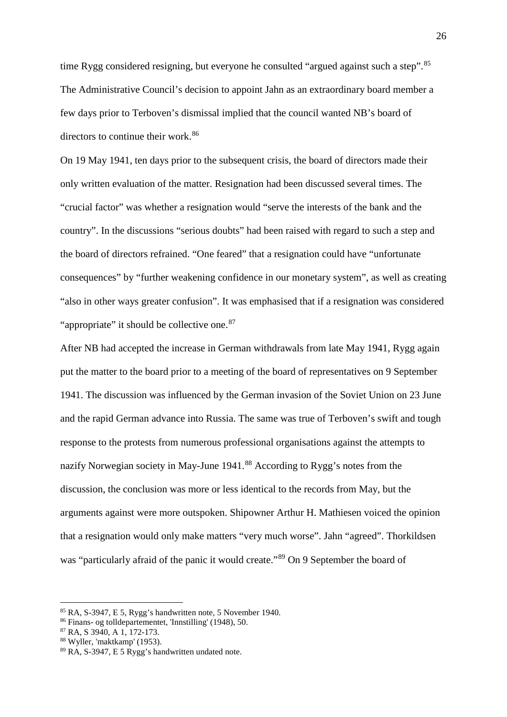time Rygg considered resigning, but everyone he consulted "argued against such a step".<sup>[85](#page-25-0)</sup> The Administrative Council's decision to appoint Jahn as an extraordinary board member a few days prior to Terboven's dismissal implied that the council wanted NB's board of directors to continue their work.<sup>[86](#page-25-1)</sup>

On 19 May 1941, ten days prior to the subsequent crisis, the board of directors made their only written evaluation of the matter. Resignation had been discussed several times. The "crucial factor" was whether a resignation would "serve the interests of the bank and the country". In the discussions "serious doubts" had been raised with regard to such a step and the board of directors refrained. "One feared" that a resignation could have "unfortunate consequences" by "further weakening confidence in our monetary system", as well as creating "also in other ways greater confusion". It was emphasised that if a resignation was considered "appropriate" it should be collective one.<sup>[87](#page-25-2)</sup>

After NB had accepted the increase in German withdrawals from late May 1941, Rygg again put the matter to the board prior to a meeting of the board of representatives on 9 September 1941. The discussion was influenced by the German invasion of the Soviet Union on 23 June and the rapid German advance into Russia. The same was true of Terboven's swift and tough response to the protests from numerous professional organisations against the attempts to nazify Norwegian society in May-June 1941.<sup>[88](#page-25-3)</sup> According to Rygg's notes from the discussion, the conclusion was more or less identical to the records from May, but the arguments against were more outspoken. Shipowner Arthur H. Mathiesen voiced the opinion that a resignation would only make matters "very much worse". Jahn "agreed". Thorkildsen was "particularly afraid of the panic it would create."<sup>[89](#page-25-4)</sup> On 9 September the board of

<span id="page-25-0"></span><sup>85</sup> RA, S-3947, E 5, Rygg's handwritten note, 5 November 1940.

<span id="page-25-1"></span><sup>86</sup> Finans- og tolldepartementet, 'Innstilling' (1948), 50.

<span id="page-25-2"></span><sup>87</sup> RA, S 3940, A 1, 172-173.

<span id="page-25-3"></span><sup>88</sup> Wyller, 'maktkamp' (1953).

<span id="page-25-4"></span><sup>89</sup> RA, S-3947, E 5 Rygg's handwritten undated note.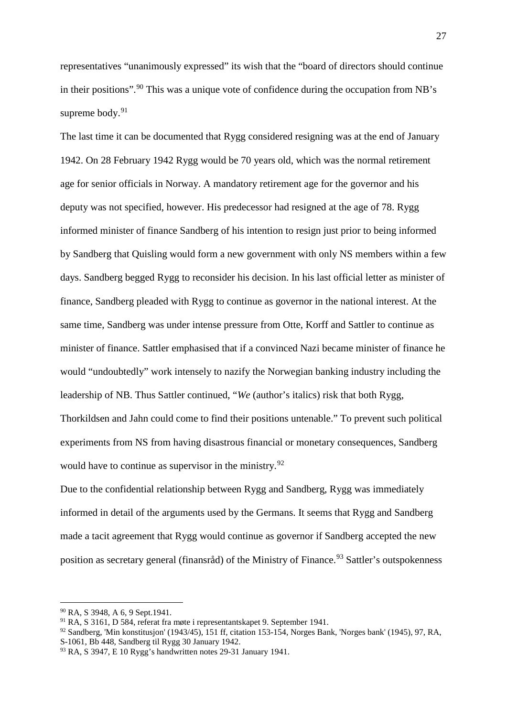representatives "unanimously expressed" its wish that the "board of directors should continue in their positions".[90](#page-26-0) This was a unique vote of confidence during the occupation from NB's supreme body.<sup>[91](#page-26-1)</sup>

The last time it can be documented that Rygg considered resigning was at the end of January 1942. On 28 February 1942 Rygg would be 70 years old, which was the normal retirement age for senior officials in Norway. A mandatory retirement age for the governor and his deputy was not specified, however. His predecessor had resigned at the age of 78. Rygg informed minister of finance Sandberg of his intention to resign just prior to being informed by Sandberg that Quisling would form a new government with only NS members within a few days. Sandberg begged Rygg to reconsider his decision. In his last official letter as minister of finance, Sandberg pleaded with Rygg to continue as governor in the national interest. At the same time, Sandberg was under intense pressure from Otte, Korff and Sattler to continue as minister of finance. Sattler emphasised that if a convinced Nazi became minister of finance he would "undoubtedly" work intensely to nazify the Norwegian banking industry including the leadership of NB. Thus Sattler continued, "*We* (author's italics) risk that both Rygg, Thorkildsen and Jahn could come to find their positions untenable." To prevent such political experiments from NS from having disastrous financial or monetary consequences, Sandberg would have to continue as supervisor in the ministry.<sup>[92](#page-26-2)</sup>

Due to the confidential relationship between Rygg and Sandberg, Rygg was immediately informed in detail of the arguments used by the Germans. It seems that Rygg and Sandberg made a tacit agreement that Rygg would continue as governor if Sandberg accepted the new position as secretary general (finansråd) of the Ministry of Finance.<sup>[93](#page-26-3)</sup> Sattler's outspokenness

<sup>90</sup> RA, S 3948, A 6, 9 Sept.1941.

<span id="page-26-1"></span><span id="page-26-0"></span><sup>91</sup> RA, S 3161, D 584, referat fra møte i representantskapet 9. September 1941.

<span id="page-26-2"></span> $92$  Sandberg, 'Min konstitusjon' (1943/45), 151 ff, citation 153-154, Norges Bank, 'Norges bank' (1945), 97, RA, S-1061, Bb 448, Sandberg til Rygg 30 January 1942.

<span id="page-26-3"></span><sup>93</sup> RA, S 3947, E 10 Rygg's handwritten notes 29-31 January 1941.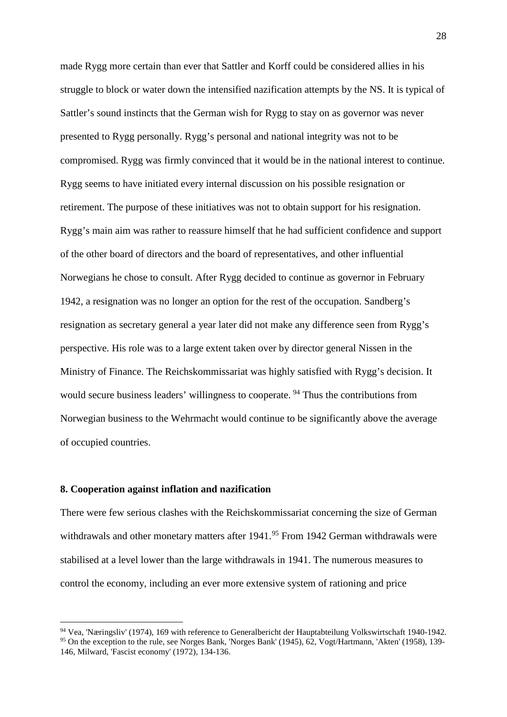made Rygg more certain than ever that Sattler and Korff could be considered allies in his struggle to block or water down the intensified nazification attempts by the NS. It is typical of Sattler's sound instincts that the German wish for Rygg to stay on as governor was never presented to Rygg personally. Rygg's personal and national integrity was not to be compromised. Rygg was firmly convinced that it would be in the national interest to continue. Rygg seems to have initiated every internal discussion on his possible resignation or retirement. The purpose of these initiatives was not to obtain support for his resignation. Rygg's main aim was rather to reassure himself that he had sufficient confidence and support of the other board of directors and the board of representatives, and other influential Norwegians he chose to consult. After Rygg decided to continue as governor in February 1942, a resignation was no longer an option for the rest of the occupation. Sandberg's resignation as secretary general a year later did not make any difference seen from Rygg's perspective. His role was to a large extent taken over by director general Nissen in the Ministry of Finance. The Reichskommissariat was highly satisfied with Rygg's decision. It would secure business leaders' willingness to cooperate.<sup>[94](#page-27-0)</sup> Thus the contributions from Norwegian business to the Wehrmacht would continue to be significantly above the average of occupied countries.

# **8. Cooperation against inflation and nazification**

 $\overline{a}$ 

There were few serious clashes with the Reichskommissariat concerning the size of German withdrawals and other monetary matters after 1941.<sup>[95](#page-27-1)</sup> From 1942 German withdrawals were stabilised at a level lower than the large withdrawals in 1941. The numerous measures to control the economy, including an ever more extensive system of rationing and price

<span id="page-27-1"></span><span id="page-27-0"></span><sup>94</sup> Vea, 'Næringsliv' (1974), 169 with reference to Generalbericht der Hauptabteilung Volkswirtschaft 1940-1942. <sup>95</sup> On the exception to the rule, see Norges Bank, 'Norges Bank' (1945), 62, Vogt/Hartmann, 'Akten' (1958), 139-146, Milward, 'Fascist economy' (1972), 134-136.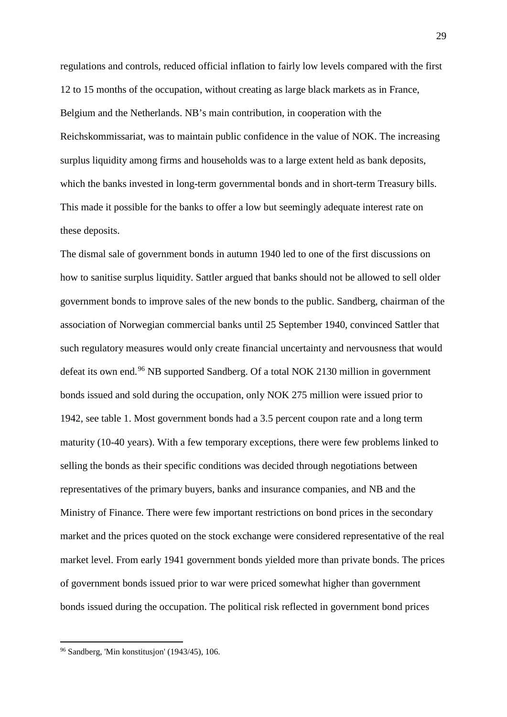regulations and controls, reduced official inflation to fairly low levels compared with the first 12 to 15 months of the occupation, without creating as large black markets as in France, Belgium and the Netherlands. NB's main contribution, in cooperation with the Reichskommissariat, was to maintain public confidence in the value of NOK. The increasing surplus liquidity among firms and households was to a large extent held as bank deposits, which the banks invested in long-term governmental bonds and in short-term Treasury bills. This made it possible for the banks to offer a low but seemingly adequate interest rate on these deposits.

The dismal sale of government bonds in autumn 1940 led to one of the first discussions on how to sanitise surplus liquidity. Sattler argued that banks should not be allowed to sell older government bonds to improve sales of the new bonds to the public. Sandberg, chairman of the association of Norwegian commercial banks until 25 September 1940, convinced Sattler that such regulatory measures would only create financial uncertainty and nervousness that would defeat its own end.[96](#page-28-0) NB supported Sandberg. Of a total NOK 2130 million in government bonds issued and sold during the occupation, only NOK 275 million were issued prior to 1942, see table 1. Most government bonds had a 3.5 percent coupon rate and a long term maturity (10-40 years). With a few temporary exceptions, there were few problems linked to selling the bonds as their specific conditions was decided through negotiations between representatives of the primary buyers, banks and insurance companies, and NB and the Ministry of Finance. There were few important restrictions on bond prices in the secondary market and the prices quoted on the stock exchange were considered representative of the real market level. From early 1941 government bonds yielded more than private bonds. The prices of government bonds issued prior to war were priced somewhat higher than government bonds issued during the occupation. The political risk reflected in government bond prices

<span id="page-28-0"></span><sup>96</sup> Sandberg, 'Min konstitusjon' (1943/45), 106.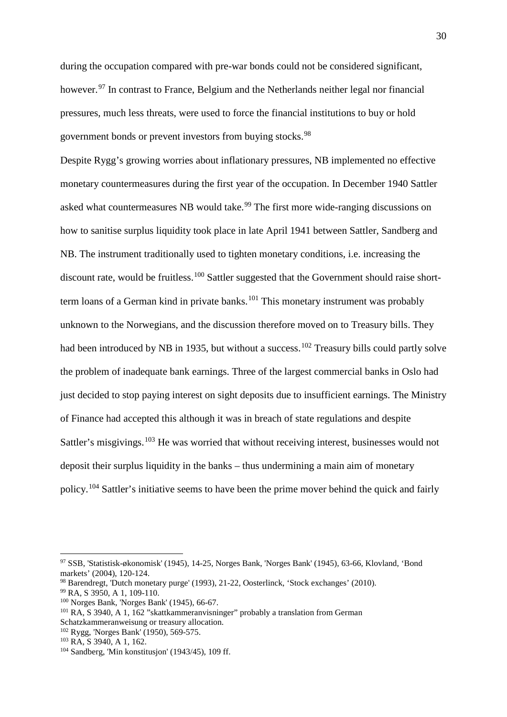during the occupation compared with pre-war bonds could not be considered significant, however.<sup>[97](#page-29-0)</sup> In contrast to France, Belgium and the Netherlands neither legal nor financial pressures, much less threats, were used to force the financial institutions to buy or hold government bonds or prevent investors from buying stocks.<sup>[98](#page-29-1)</sup>

Despite Rygg's growing worries about inflationary pressures, NB implemented no effective monetary countermeasures during the first year of the occupation. In December 1940 Sattler asked what countermeasures NB would take.<sup>[99](#page-29-2)</sup> The first more wide-ranging discussions on how to sanitise surplus liquidity took place in late April 1941 between Sattler, Sandberg and NB. The instrument traditionally used to tighten monetary conditions, i.e. increasing the discount rate, would be fruitless.<sup>[100](#page-29-3)</sup> Sattler suggested that the Government should raise short-term loans of a German kind in private banks.<sup>[101](#page-29-4)</sup> This monetary instrument was probably unknown to the Norwegians, and the discussion therefore moved on to Treasury bills. They had been introduced by NB in 1935, but without a success.<sup>[102](#page-29-5)</sup> Treasury bills could partly solve the problem of inadequate bank earnings. Three of the largest commercial banks in Oslo had just decided to stop paying interest on sight deposits due to insufficient earnings. The Ministry of Finance had accepted this although it was in breach of state regulations and despite Sattler's misgivings.<sup>[103](#page-29-6)</sup> He was worried that without receiving interest, businesses would not deposit their surplus liquidity in the banks – thus undermining a main aim of monetary policy.[104](#page-29-7) Sattler's initiative seems to have been the prime mover behind the quick and fairly

<span id="page-29-0"></span><sup>97</sup> SSB, 'Statistisk-økonomisk' (1945), 14-25, Norges Bank, 'Norges Bank' (1945), 63-66, Klovland, 'Bond markets' (2004), 120-124.

<span id="page-29-1"></span><sup>98</sup> Barendregt, 'Dutch monetary purge' (1993), 21-22, Oosterlinck, 'Stock exchanges' (2010).

<span id="page-29-2"></span><sup>99</sup> RA, S 3950, A 1, 109-110.

<span id="page-29-3"></span><sup>100</sup> Norges Bank, 'Norges Bank' (1945), 66-67.

<span id="page-29-4"></span><sup>101</sup> RA, S 3940, A 1, 162 "skattkammeranvisninger" probably a translation from German Schatzkammeranweisung or treasury allocation.

<span id="page-29-5"></span><sup>102</sup> Rygg, 'Norges Bank' (1950), 569-575.

<span id="page-29-6"></span><sup>103</sup> RA, S 3940, A 1, 162.

<span id="page-29-7"></span> $104$  Sandberg, 'Min konstitusjon' (1943/45), 109 ff.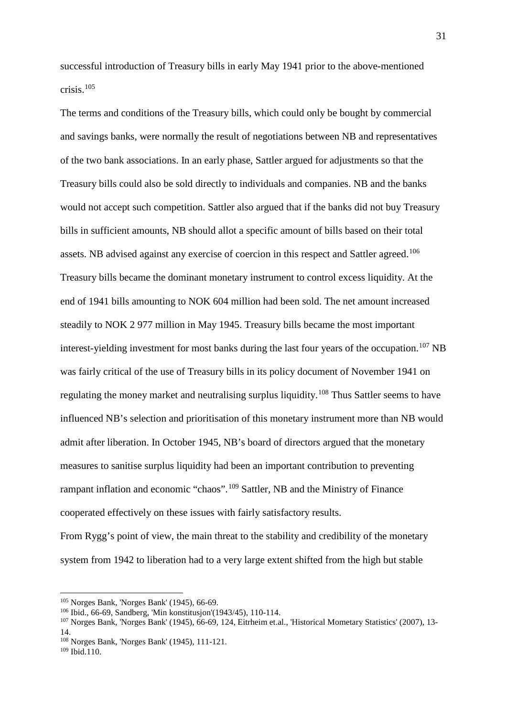successful introduction of Treasury bills in early May 1941 prior to the above-mentioned crisis.[105](#page-30-0)

The terms and conditions of the Treasury bills, which could only be bought by commercial and savings banks, were normally the result of negotiations between NB and representatives of the two bank associations. In an early phase, Sattler argued for adjustments so that the Treasury bills could also be sold directly to individuals and companies. NB and the banks would not accept such competition. Sattler also argued that if the banks did not buy Treasury bills in sufficient amounts, NB should allot a specific amount of bills based on their total assets. NB advised against any exercise of coercion in this respect and Sattler agreed.<sup>[106](#page-30-1)</sup> Treasury bills became the dominant monetary instrument to control excess liquidity. At the end of 1941 bills amounting to NOK 604 million had been sold. The net amount increased steadily to NOK 2 977 million in May 1945. Treasury bills became the most important interest-yielding investment for most banks during the last four years of the occupation.<sup>[107](#page-30-2)</sup> NB was fairly critical of the use of Treasury bills in its policy document of November 1941 on regulating the money market and neutralising surplus liquidity.<sup>[108](#page-30-3)</sup> Thus Sattler seems to have influenced NB's selection and prioritisation of this monetary instrument more than NB would admit after liberation. In October 1945, NB's board of directors argued that the monetary measures to sanitise surplus liquidity had been an important contribution to preventing rampant inflation and economic "chaos".[109](#page-30-4) Sattler, NB and the Ministry of Finance cooperated effectively on these issues with fairly satisfactory results.

From Rygg's point of view, the main threat to the stability and credibility of the monetary system from 1942 to liberation had to a very large extent shifted from the high but stable

<span id="page-30-0"></span><sup>105</sup> Norges Bank, 'Norges Bank' (1945), 66-69.

<span id="page-30-1"></span><sup>106</sup> Ibid., 66-69, Sandberg, 'Min konstitusjon'(1943/45), 110-114.

<span id="page-30-2"></span><sup>107</sup> Norges Bank, 'Norges Bank' (1945), 66-69, 124, Eitrheim et.al., 'Historical Mometary Statistics' (2007), 13- 14.

<span id="page-30-3"></span><sup>108</sup> Norges Bank, 'Norges Bank' (1945), 111-121.

<span id="page-30-4"></span> $109$  Ibid.  $110$ .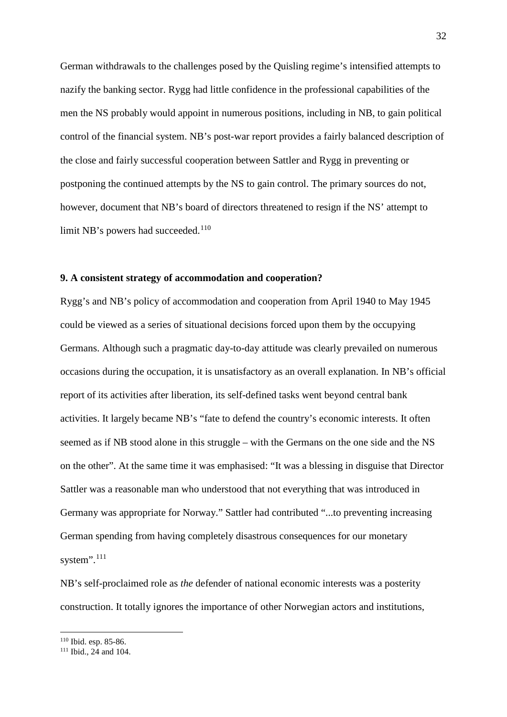German withdrawals to the challenges posed by the Quisling regime's intensified attempts to nazify the banking sector. Rygg had little confidence in the professional capabilities of the men the NS probably would appoint in numerous positions, including in NB, to gain political control of the financial system. NB's post-war report provides a fairly balanced description of the close and fairly successful cooperation between Sattler and Rygg in preventing or postponing the continued attempts by the NS to gain control. The primary sources do not, however, document that NB's board of directors threatened to resign if the NS' attempt to limit NB's powers had succeeded.<sup>[110](#page-31-0)</sup>

#### **9. A consistent strategy of accommodation and cooperation?**

Rygg's and NB's policy of accommodation and cooperation from April 1940 to May 1945 could be viewed as a series of situational decisions forced upon them by the occupying Germans. Although such a pragmatic day-to-day attitude was clearly prevailed on numerous occasions during the occupation, it is unsatisfactory as an overall explanation. In NB's official report of its activities after liberation, its self-defined tasks went beyond central bank activities. It largely became NB's "fate to defend the country's economic interests. It often seemed as if NB stood alone in this struggle – with the Germans on the one side and the NS on the other". At the same time it was emphasised: "It was a blessing in disguise that Director Sattler was a reasonable man who understood that not everything that was introduced in Germany was appropriate for Norway." Sattler had contributed "...to preventing increasing German spending from having completely disastrous consequences for our monetary system".<sup>[111](#page-31-1)</sup>

NB's self-proclaimed role as *the* defender of national economic interests was a posterity construction. It totally ignores the importance of other Norwegian actors and institutions,

<span id="page-31-0"></span><sup>110</sup> Ibid. esp. 85-86.

<span id="page-31-1"></span> $111$  Ibid.,  $24$  and 104.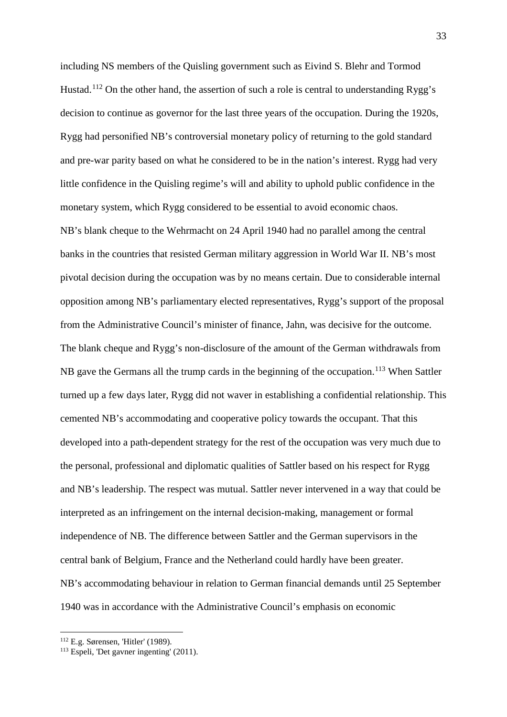including NS members of the Quisling government such as Eivind S. Blehr and Tormod Hustad.<sup>[112](#page-32-0)</sup> On the other hand, the assertion of such a role is central to understanding Rygg's decision to continue as governor for the last three years of the occupation. During the 1920s, Rygg had personified NB's controversial monetary policy of returning to the gold standard and pre-war parity based on what he considered to be in the nation's interest. Rygg had very little confidence in the Quisling regime's will and ability to uphold public confidence in the monetary system, which Rygg considered to be essential to avoid economic chaos. NB's blank cheque to the Wehrmacht on 24 April 1940 had no parallel among the central banks in the countries that resisted German military aggression in World War II. NB's most pivotal decision during the occupation was by no means certain. Due to considerable internal opposition among NB's parliamentary elected representatives, Rygg's support of the proposal from the Administrative Council's minister of finance, Jahn, was decisive for the outcome. The blank cheque and Rygg's non-disclosure of the amount of the German withdrawals from NB gave the Germans all the trump cards in the beginning of the occupation.<sup>[113](#page-32-1)</sup> When Sattler turned up a few days later, Rygg did not waver in establishing a confidential relationship. This cemented NB's accommodating and cooperative policy towards the occupant. That this developed into a path-dependent strategy for the rest of the occupation was very much due to the personal, professional and diplomatic qualities of Sattler based on his respect for Rygg and NB's leadership. The respect was mutual. Sattler never intervened in a way that could be interpreted as an infringement on the internal decision-making, management or formal independence of NB. The difference between Sattler and the German supervisors in the central bank of Belgium, France and the Netherland could hardly have been greater. NB's accommodating behaviour in relation to German financial demands until 25 September 1940 was in accordance with the Administrative Council's emphasis on economic

<span id="page-32-0"></span><sup>112</sup> E.g. Sørensen, 'Hitler' (1989).

<span id="page-32-1"></span><sup>113</sup> Espeli, 'Det gavner ingenting' (2011).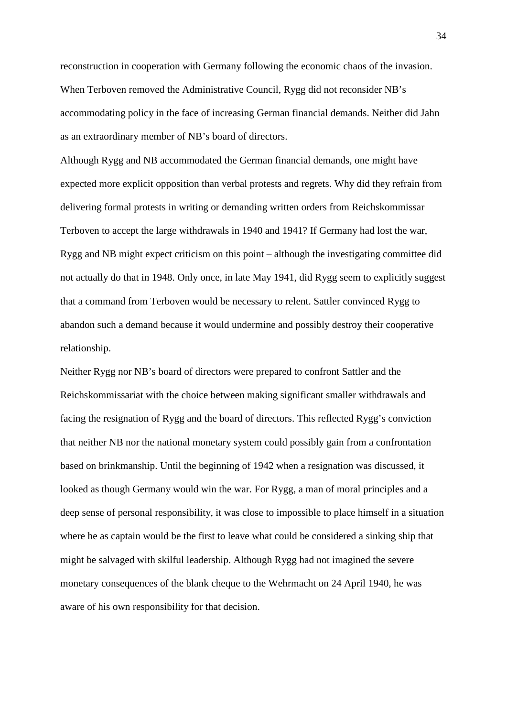reconstruction in cooperation with Germany following the economic chaos of the invasion. When Terboven removed the Administrative Council, Rygg did not reconsider NB's accommodating policy in the face of increasing German financial demands. Neither did Jahn as an extraordinary member of NB's board of directors.

Although Rygg and NB accommodated the German financial demands, one might have expected more explicit opposition than verbal protests and regrets. Why did they refrain from delivering formal protests in writing or demanding written orders from Reichskommissar Terboven to accept the large withdrawals in 1940 and 1941? If Germany had lost the war, Rygg and NB might expect criticism on this point – although the investigating committee did not actually do that in 1948. Only once, in late May 1941, did Rygg seem to explicitly suggest that a command from Terboven would be necessary to relent. Sattler convinced Rygg to abandon such a demand because it would undermine and possibly destroy their cooperative relationship.

Neither Rygg nor NB's board of directors were prepared to confront Sattler and the Reichskommissariat with the choice between making significant smaller withdrawals and facing the resignation of Rygg and the board of directors. This reflected Rygg's conviction that neither NB nor the national monetary system could possibly gain from a confrontation based on brinkmanship. Until the beginning of 1942 when a resignation was discussed, it looked as though Germany would win the war. For Rygg, a man of moral principles and a deep sense of personal responsibility, it was close to impossible to place himself in a situation where he as captain would be the first to leave what could be considered a sinking ship that might be salvaged with skilful leadership. Although Rygg had not imagined the severe monetary consequences of the blank cheque to the Wehrmacht on 24 April 1940, he was aware of his own responsibility for that decision.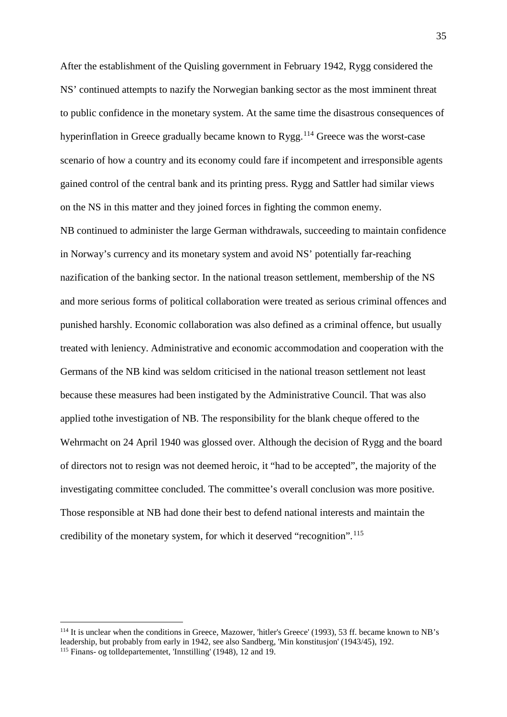After the establishment of the Quisling government in February 1942, Rygg considered the NS' continued attempts to nazify the Norwegian banking sector as the most imminent threat to public confidence in the monetary system. At the same time the disastrous consequences of hyperinflation in Greece gradually became known to  $Rygg$ <sup>[114](#page-34-0)</sup> Greece was the worst-case scenario of how a country and its economy could fare if incompetent and irresponsible agents gained control of the central bank and its printing press. Rygg and Sattler had similar views on the NS in this matter and they joined forces in fighting the common enemy.

NB continued to administer the large German withdrawals, succeeding to maintain confidence in Norway's currency and its monetary system and avoid NS' potentially far-reaching nazification of the banking sector. In the national treason settlement, membership of the NS and more serious forms of political collaboration were treated as serious criminal offences and punished harshly. Economic collaboration was also defined as a criminal offence, but usually treated with leniency. Administrative and economic accommodation and cooperation with the Germans of the NB kind was seldom criticised in the national treason settlement not least because these measures had been instigated by the Administrative Council. That was also applied tothe investigation of NB. The responsibility for the blank cheque offered to the Wehrmacht on 24 April 1940 was glossed over. Although the decision of Rygg and the board of directors not to resign was not deemed heroic, it "had to be accepted", the majority of the investigating committee concluded. The committee's overall conclusion was more positive. Those responsible at NB had done their best to defend national interests and maintain the credibility of the monetary system, for which it deserved "recognition".<sup>[115](#page-34-1)</sup>

<span id="page-34-1"></span><span id="page-34-0"></span><sup>114</sup> It is unclear when the conditions in Greece, Mazower, 'hitler's Greece' (1993), 53 ff. became known to NB's leadership, but probably from early in 1942, see also Sandberg, 'Min konstitusjon' (1943/45), 192. <sup>115</sup> Finans- og tolldepartementet, 'Innstilling' (1948), 12 and 19.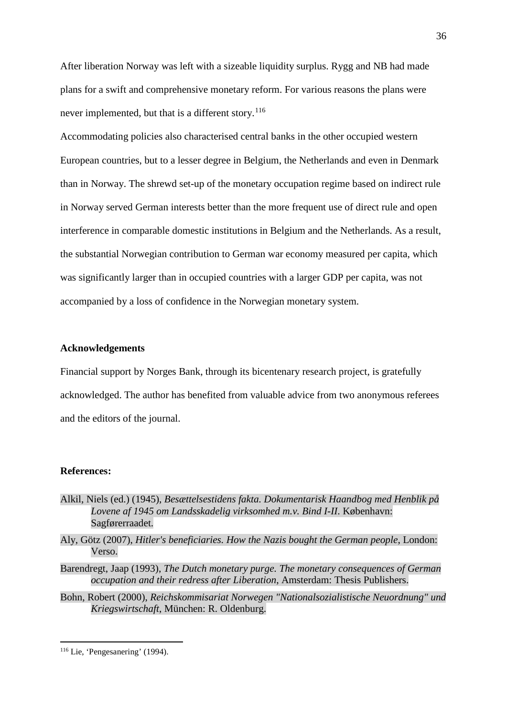After liberation Norway was left with a sizeable liquidity surplus. Rygg and NB had made plans for a swift and comprehensive monetary reform. For various reasons the plans were never implemented, but that is a different story.<sup>[116](#page-35-0)</sup>

Accommodating policies also characterised central banks in the other occupied western European countries, but to a lesser degree in Belgium, the Netherlands and even in Denmark than in Norway. The shrewd set-up of the monetary occupation regime based on indirect rule in Norway served German interests better than the more frequent use of direct rule and open interference in comparable domestic institutions in Belgium and the Netherlands. As a result, the substantial Norwegian contribution to German war economy measured per capita, which was significantly larger than in occupied countries with a larger GDP per capita, was not accompanied by a loss of confidence in the Norwegian monetary system.

# **Acknowledgements**

Financial support by Norges Bank, through its bicentenary research project, is gratefully acknowledged. The author has benefited from valuable advice from two anonymous referees and the editors of the journal.

#### **References:**

- Alkil, Niels (ed.) (1945), *Besættelsestidens fakta. Dokumentarisk Haandbog med Henblik på Lovene af 1945 om Landsskadelig virksomhed m.v. Bind I-II*. København: Sagførerraadet.
- Aly, Götz (2007), *Hitler's beneficiaries. How the Nazis bought the German people*, London: Verso.
- Barendregt, Jaap (1993), *The Dutch monetary purge. The monetary consequences of German occupation and their redress after Liberation*, Amsterdam: Thesis Publishers.
- Bohn, Robert (2000), *Reichskommisariat Norwegen "Nationalsozialistische Neuordnung" und Kriegswirtschaft*, München: R. Oldenburg.

<span id="page-35-0"></span><sup>116</sup> Lie, 'Pengesanering' (1994).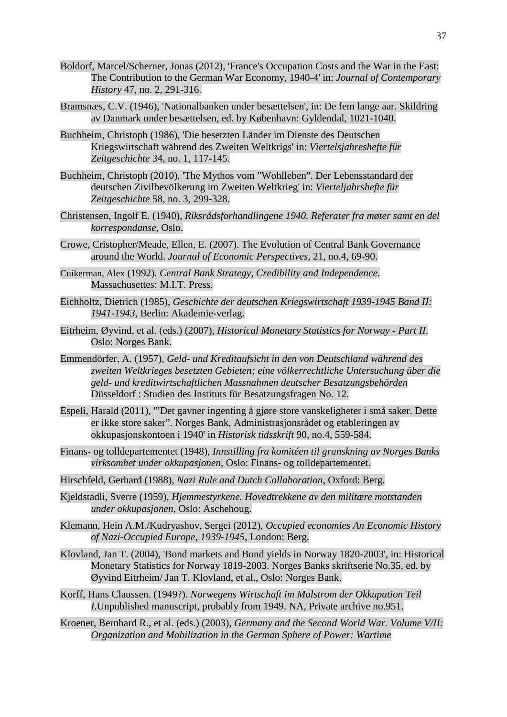- Boldorf, Marcel/Scherner, Jonas (2012), 'France's Occupation Costs and the War in the East: The Contribution to the German War Economy, 1940-4' in: *Journal of Contemporary History* 47, no. 2, 291-316.
- Bramsnæs, C.V. (1946), 'Nationalbanken under besættelsen', in: De fem lange aar. Skildring av Danmark under besættelsen, ed. by København: Gyldendal, 1021-1040.
- Buchheim, Christoph (1986), 'Die besetzten Länder im Dienste des Deutschen Kriegswirtschaft während des Zweiten Weltkrigs' in: *Viertelsjahreshefte für Zeitgeschichte* 34, no. 1, 117-145.
- Buchheim, Christoph (2010), 'The Mythos vom "Wohlleben". Der Lebensstandard der deutschen Zivilbevölkerung im Zweiten Weltkrieg' in: *Vierteljahrshefte für Zeitgeschichte* 58, no. 3, 299-328.
- Christensen, Ingolf E. (1940), *Riksrådsforhandlingene 1940. Referater fra møter samt en del korrespondanse*, Oslo.
- Crowe, Cristopher/Meade, Ellen, E. (2007). The Evolution of Central Bank Governance around the World. *Journal of Economic Perspectives,* 21, no.4, 69-90.
- Cuikerman, Alex (1992). *Central Bank Strategy, Credibility and Independence*. Massachusettes: M.I.T. Press.
- Eichholtz, Dietrich (1985), *Geschichte der deutschen Kriegswirtschaft 1939-1945 Band II: 1941-1943*, Berlin: Akademie-verlag.
- Eitrheim, Øyvind, et al. (eds.) (2007), *Historical Monetary Statistics for Norway - Part II*. Oslo: Norges Bank.
- Emmendörfer, A. (1957), *Geld- und Kreditaufsicht in den von Deutschland während des zweiten Weltkrieges besetzten Gebieten; eine völkerrechtliche Untersuchung über die geld- und kreditwirtschaftlichen Massnahmen deutscher Besatzungsbehörden* Düsseldorf : Studien des Instituts für Besatzungsfragen No. 12.
- Espeli, Harald (2011), '"Det gavner ingenting å gjøre store vanskeligheter i små saker. Dette er ikke store saker". Norges Bank, Administrasjonsrådet og etableringen av okkupasjonskontoen i 1940' in *Historisk tidsskrift* 90, no.4, 559-584.
- Finans- og tolldepartementet (1948), *Innstilling fra komitéen til granskning av Norges Banks virksomhet under okkupasjonen*, Oslo: Finans- og tolldepartementet.
- Hirschfeld, Gerhard (1988), *Nazi Rule and Dutch Collaboration*, Oxford: Berg.
- Kjeldstadli, Sverre (1959), *Hjemmestyrkene. Hovedtrekkene av den militære motstanden under okkupasjonen*, Oslo: Aschehoug.
- Klemann, Hein A.M./Kudryashov, Sergei (2012), *Occupied economies An Economic History of Nazi-Occupied Europe, 1939-1945*, London: Berg.
- Klovland, Jan T. (2004), 'Bond markets and Bond yields in Norway 1820-2003', in: Historical Monetary Statistics for Norway 1819-2003. Norges Banks skriftserie No.35, ed. by Øyvind Eitrheim/ Jan T. Klovland, et al., Oslo: Norges Bank.
- Korff, Hans Claussen. (1949?). *Norwegens Wirtschaft im Malstrom der Okkupation Teil I*.Unpublished manuscript, probably from 1949. NA, Private archive no.951.
- Kroener, Bernhard R., et al. (eds.) (2003), *Germany and the Second World War. Volume V/II: Organization and Mobilization in the German Sphere of Power: Wartime*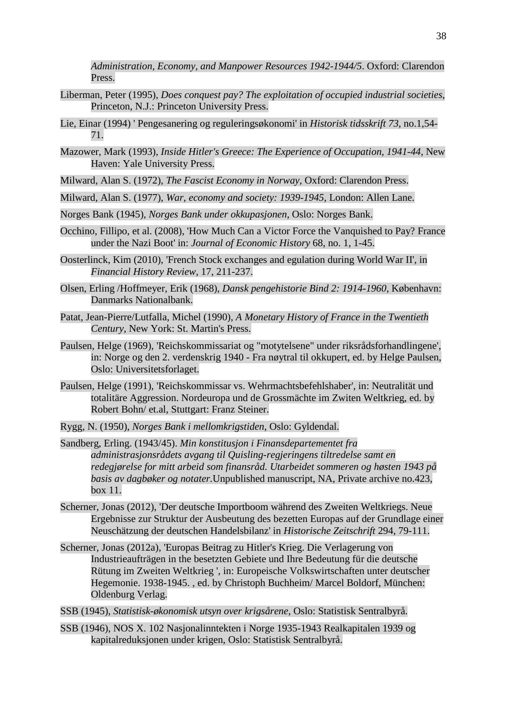*Administration, Economy, and Manpower Resources 1942-1944/5*. Oxford: Clarendon Press.

- Liberman, Peter (1995), *Does conquest pay? The exploitation of occupied industrial societies*, Princeton, N.J.: Princeton University Press.
- Lie, Einar (1994) ' Pengesanering og reguleringsøkonomi' in *Historisk tidsskrift 73*, no.1,54- 71.
- Mazower, Mark (1993), *Inside Hitler's Greece: The Experience of Occupation, 1941-44*, New Haven: Yale University Press.
- Milward, Alan S. (1972), *The Fascist Economy in Norway*, Oxford: Clarendon Press.
- Milward, Alan S. (1977), *War, economy and society: 1939-1945*, London: Allen Lane.
- Norges Bank (1945), *Norges Bank under okkupasjonen*, Oslo: Norges Bank.
- Occhino, Fillipo, et al. (2008), 'How Much Can a Victor Force the Vanquished to Pay? France under the Nazi Boot' in: *Journal of Economic History* 68, no. 1, 1-45.
- Oosterlinck, Kim (2010), 'French Stock exchanges and egulation during World War II', in *Financial History Review*, 17, 211-237.
- Olsen, Erling /Hoffmeyer, Erik (1968), *Dansk pengehistorie Bind 2: 1914-1960*, København: Danmarks Nationalbank.
- Patat, Jean-Pierre/Lutfalla, Michel (1990), *A Monetary History of France in the Twentieth Century*, New York: St. Martin's Press.
- Paulsen, Helge (1969), 'Reichskommissariat og "motytelsene" under riksrådsforhandlingene', in: Norge og den 2. verdenskrig 1940 - Fra nøytral til okkupert, ed. by Helge Paulsen, Oslo: Universitetsforlaget.
- Paulsen, Helge (1991), 'Reichskommissar vs. Wehrmachtsbefehlshaber', in: Neutralität und totalitäre Aggression. Nordeuropa und de Grossmächte im Zwiten Weltkrieg, ed. by Robert Bohn/ et.al, Stuttgart: Franz Steiner.
- Rygg, N. (1950), *Norges Bank i mellomkrigstiden*, Oslo: Gyldendal.
- Sandberg, Erling. (1943/45). *Min konstitusjon i Finansdepartementet fra administrasjonsrådets avgang til Quisling-regjeringens tiltredelse samt en redegjørelse for mitt arbeid som finansråd. Utarbeidet sommeren og høsten 1943 på basis av dagbøker og notater.*Unpublished manuscript, NA, Private archive no.423, box 11.
- Scherner, Jonas (2012), 'Der deutsche Importboom während des Zweiten Weltkriegs. Neue Ergebnisse zur Struktur der Ausbeutung des bezetten Europas auf der Grundlage einer Neuschätzung der deutschen Handelsbilanz' in *Historische Zeitschrift* 294, 79-111.
- Scherner, Jonas (2012a), 'Europas Beitrag zu Hitler's Krieg. Die Verlagerung von Industrieaufträgen in the besetzten Gebiete und Ihre Bedeutung für die deutsche Rütung im Zweiten Weltkrieg ', in: Europeische Volkswirtschaften unter deutscher Hegemonie. 1938-1945. , ed. by Christoph Buchheim/ Marcel Boldorf, München: Oldenburg Verlag.
- SSB (1945), *Statistisk-økonomisk utsyn over krigsårene*, Oslo: Statistisk Sentralbyrå.
- SSB (1946), NOS X. 102 Nasjonalinntekten i Norge 1935-1943 Realkapitalen 1939 og kapitalreduksjonen under krigen, Oslo: Statistisk Sentralbyrå.